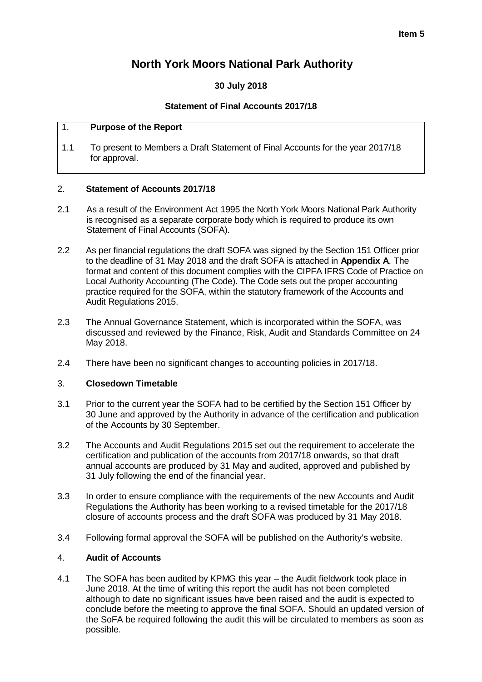# **North York Moors National Park Authority**

## **30 July 2018**

## **Statement of Final Accounts 2017/18**

### 1. **Purpose of the Report**

1.1 To present to Members a Draft Statement of Final Accounts for the year 2017/18 for approval.

## 2. **Statement of Accounts 2017/18**

- 2.1 As a result of the Environment Act 1995 the North York Moors National Park Authority is recognised as a separate corporate body which is required to produce its own Statement of Final Accounts (SOFA).
- 2.2 As per financial regulations the draft SOFA was signed by the Section 151 Officer prior to the deadline of 31 May 2018 and the draft SOFA is attached in **Appendix A**. The format and content of this document complies with the CIPFA IFRS Code of Practice on Local Authority Accounting (The Code). The Code sets out the proper accounting practice required for the SOFA, within the statutory framework of the Accounts and Audit Regulations 2015.
- 2.3 The Annual Governance Statement, which is incorporated within the SOFA, was discussed and reviewed by the Finance, Risk, Audit and Standards Committee on 24 May 2018.
- 2.4 There have been no significant changes to accounting policies in 2017/18.

## 3. **Closedown Timetable**

- 3.1 Prior to the current year the SOFA had to be certified by the Section 151 Officer by 30 June and approved by the Authority in advance of the certification and publication of the Accounts by 30 September.
- 3.2 The Accounts and Audit Regulations 2015 set out the requirement to accelerate the certification and publication of the accounts from 2017/18 onwards, so that draft annual accounts are produced by 31 May and audited, approved and published by 31 July following the end of the financial year.
- 3.3 In order to ensure compliance with the requirements of the new Accounts and Audit Regulations the Authority has been working to a revised timetable for the 2017/18 closure of accounts process and the draft SOFA was produced by 31 May 2018.
- 3.4 Following formal approval the SOFA will be published on the Authority's website.

## 4. **Audit of Accounts**

4.1 The SOFA has been audited by KPMG this year – the Audit fieldwork took place in June 2018. At the time of writing this report the audit has not been completed although to date no significant issues have been raised and the audit is expected to conclude before the meeting to approve the final SOFA. Should an updated version of the SoFA be required following the audit this will be circulated to members as soon as possible.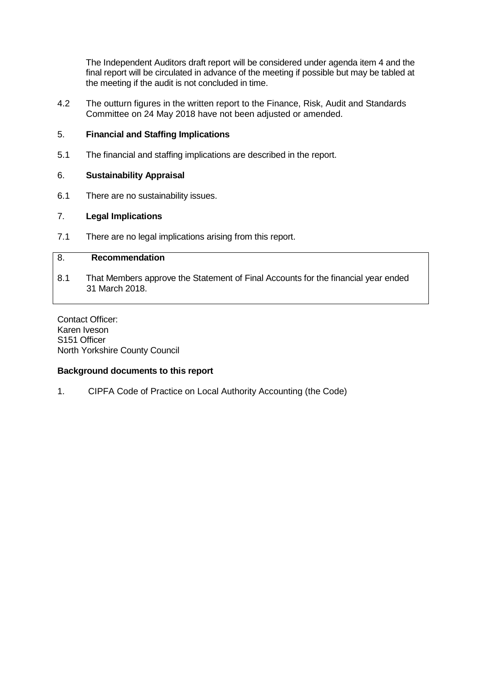The Independent Auditors draft report will be considered under agenda item 4 and the final report will be circulated in advance of the meeting if possible but may be tabled at the meeting if the audit is not concluded in time.

4.2 The outturn figures in the written report to the Finance, Risk, Audit and Standards Committee on 24 May 2018 have not been adjusted or amended.

## 5. **Financial and Staffing Implications**

5.1 The financial and staffing implications are described in the report.

## 6. **Sustainability Appraisal**

6.1 There are no sustainability issues.

## 7. **Legal Implications**

7.1 There are no legal implications arising from this report.

## 8. **Recommendation**

8.1 That Members approve the Statement of Final Accounts for the financial year ended 31 March 2018.

Contact Officer: Karen Iveson S151 Officer North Yorkshire County Council

## **Background documents to this report**

1. CIPFA Code of Practice on Local Authority Accounting (the Code)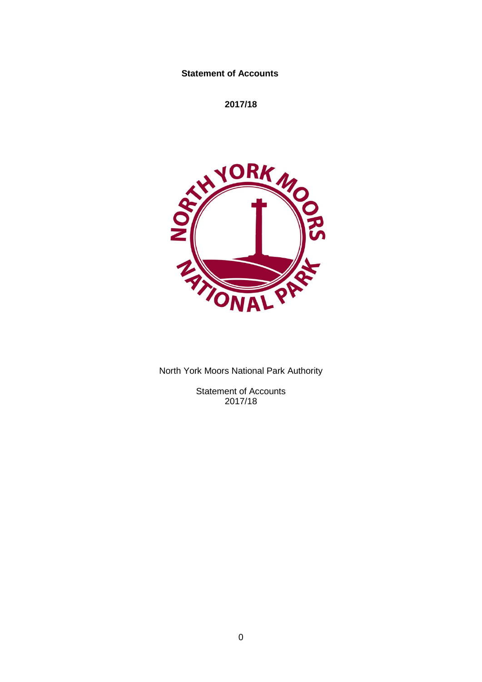## **Statement of Accounts**

**2017/18**



North York Moors National Park Authority

Statement of Accounts 2017/18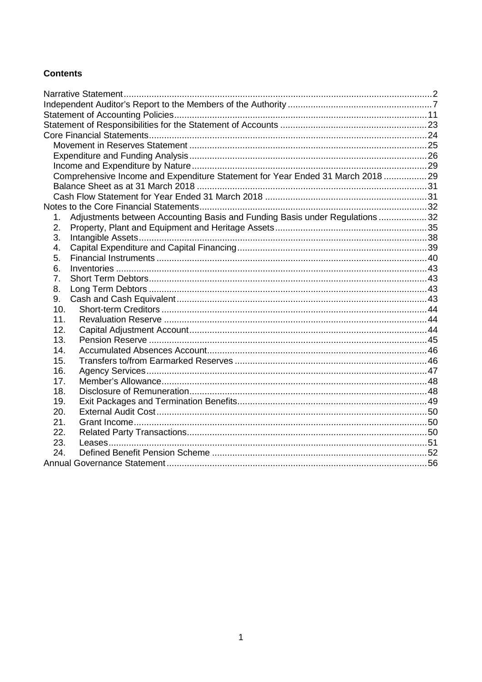## **Contents**

|     | Comprehensive Income and Expenditure Statement for Year Ended 31 March 2018  29 |  |
|-----|---------------------------------------------------------------------------------|--|
|     |                                                                                 |  |
|     |                                                                                 |  |
|     |                                                                                 |  |
| 1.  | Adjustments between Accounting Basis and Funding Basis under Regulations 32     |  |
| 2.  |                                                                                 |  |
| 3.  |                                                                                 |  |
| 4.  |                                                                                 |  |
| 5.  |                                                                                 |  |
| 6.  |                                                                                 |  |
| 7.  |                                                                                 |  |
| 8.  |                                                                                 |  |
| 9.  |                                                                                 |  |
| 10. |                                                                                 |  |
| 11. |                                                                                 |  |
| 12. |                                                                                 |  |
| 13. |                                                                                 |  |
| 14. |                                                                                 |  |
| 15. |                                                                                 |  |
| 16. |                                                                                 |  |
| 17. |                                                                                 |  |
| 18. |                                                                                 |  |
| 19. |                                                                                 |  |
| 20. |                                                                                 |  |
| 21. |                                                                                 |  |
| 22. |                                                                                 |  |
| 23. |                                                                                 |  |
| 24. |                                                                                 |  |
|     |                                                                                 |  |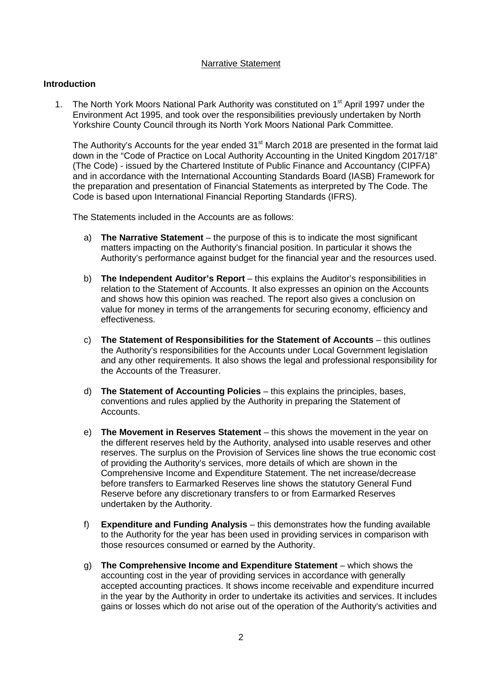#### Narrative Statement

### <span id="page-4-0"></span>**Introduction**

1. The North York Moors National Park Authority was constituted on 1<sup>st</sup> April 1997 under the Environment Act 1995, and took over the responsibilities previously undertaken by North Yorkshire County Council through its North York Moors National Park Committee.

The Authority's Accounts for the year ended 31<sup>st</sup> March 2018 are presented in the format laid down in the "Code of Practice on Local Authority Accounting in the United Kingdom 2017/18" (The Code) - issued by the Chartered Institute of Public Finance and Accountancy (CIPFA) and in accordance with the International Accounting Standards Board (IASB) Framework for the preparation and presentation of Financial Statements as interpreted by The Code. The Code is based upon International Financial Reporting Standards (IFRS).

The Statements included in the Accounts are as follows:

- a) **The Narrative Statement** the purpose of this is to indicate the most significant matters impacting on the Authority's financial position. In particular it shows the Authority's performance against budget for the financial year and the resources used.
- b) **The Independent Auditor's Report** this explains the Auditor's responsibilities in relation to the Statement of Accounts. It also expresses an opinion on the Accounts and shows how this opinion was reached. The report also gives a conclusion on value for money in terms of the arrangements for securing economy, efficiency and effectiveness.
- c) **The Statement of Responsibilities for the Statement of Accounts** this outlines the Authority's responsibilities for the Accounts under Local Government legislation and any other requirements. It also shows the legal and professional responsibility for the Accounts of the Treasurer.
- d) **The Statement of Accounting Policies** this explains the principles, bases, conventions and rules applied by the Authority in preparing the Statement of Accounts.
- e) **The Movement in Reserves Statement** this shows the movement in the year on the different reserves held by the Authority, analysed into usable reserves and other reserves. The surplus on the Provision of Services line shows the true economic cost of providing the Authority's services, more details of which are shown in the Comprehensive Income and Expenditure Statement. The net increase/decrease before transfers to Earmarked Reserves line shows the statutory General Fund Reserve before any discretionary transfers to or from Earmarked Reserves undertaken by the Authority.
- f) **Expenditure and Funding Analysis** this demonstrates how the funding available to the Authority for the year has been used in providing services in comparison with those resources consumed or earned by the Authority.
- g) **The Comprehensive Income and Expenditure Statement** which shows the accounting cost in the year of providing services in accordance with generally accepted accounting practices. It shows income receivable and expenditure incurred in the year by the Authority in order to undertake its activities and services. It includes gains or losses which do not arise out of the operation of the Authority's activities and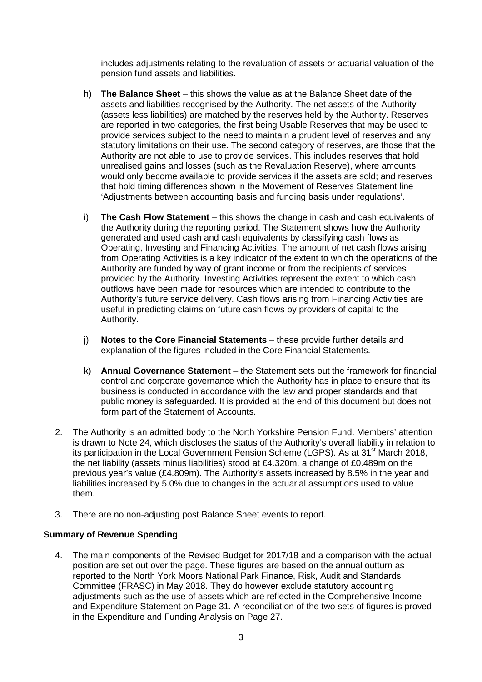includes adjustments relating to the revaluation of assets or actuarial valuation of the pension fund assets and liabilities.

- h) **The Balance Sheet**  this shows the value as at the Balance Sheet date of the assets and liabilities recognised by the Authority. The net assets of the Authority (assets less liabilities) are matched by the reserves held by the Authority. Reserves are reported in two categories, the first being Usable Reserves that may be used to provide services subject to the need to maintain a prudent level of reserves and any statutory limitations on their use. The second category of reserves, are those that the Authority are not able to use to provide services. This includes reserves that hold unrealised gains and losses (such as the Revaluation Reserve), where amounts would only become available to provide services if the assets are sold; and reserves that hold timing differences shown in the Movement of Reserves Statement line 'Adjustments between accounting basis and funding basis under regulations'.
- i) **The Cash Flow Statement** this shows the change in cash and cash equivalents of the Authority during the reporting period. The Statement shows how the Authority generated and used cash and cash equivalents by classifying cash flows as Operating, Investing and Financing Activities. The amount of net cash flows arising from Operating Activities is a key indicator of the extent to which the operations of the Authority are funded by way of grant income or from the recipients of services provided by the Authority. Investing Activities represent the extent to which cash outflows have been made for resources which are intended to contribute to the Authority's future service delivery. Cash flows arising from Financing Activities are useful in predicting claims on future cash flows by providers of capital to the Authority.
- j) **Notes to the Core Financial Statements** these provide further details and explanation of the figures included in the Core Financial Statements.
- k) **Annual Governance Statement** the Statement sets out the framework for financial control and corporate governance which the Authority has in place to ensure that its business is conducted in accordance with the law and proper standards and that public money is safeguarded. It is provided at the end of this document but does not form part of the Statement of Accounts.
- 2. The Authority is an admitted body to the North Yorkshire Pension Fund. Members' attention is drawn to Note 24, which discloses the status of the Authority's overall liability in relation to its participation in the Local Government Pension Scheme (LGPS). As at 31<sup>st</sup> March 2018, the net liability (assets minus liabilities) stood at £4.320m, a change of £0.489m on the previous year's value (£4.809m). The Authority's assets increased by 8.5% in the year and liabilities increased by 5.0% due to changes in the actuarial assumptions used to value them.
- 3. There are no non-adjusting post Balance Sheet events to report.

## **Summary of Revenue Spending**

4. The main components of the Revised Budget for 2017/18 and a comparison with the actual position are set out over the page. These figures are based on the annual outturn as reported to the North York Moors National Park Finance, Risk, Audit and Standards Committee (FRASC) in May 2018. They do however exclude statutory accounting adjustments such as the use of assets which are reflected in the Comprehensive Income and Expenditure Statement on Page 31. A reconciliation of the two sets of figures is proved in the Expenditure and Funding Analysis on Page 27.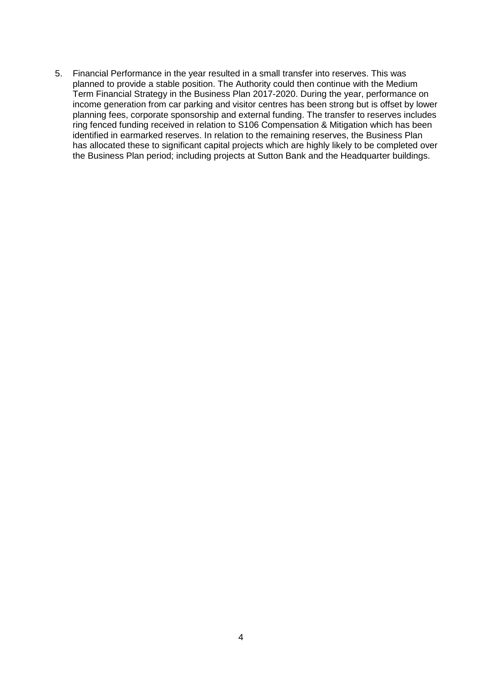5. Financial Performance in the year resulted in a small transfer into reserves. This was planned to provide a stable position. The Authority could then continue with the Medium Term Financial Strategy in the Business Plan 2017-2020. During the year, performance on income generation from car parking and visitor centres has been strong but is offset by lower planning fees, corporate sponsorship and external funding. The transfer to reserves includes ring fenced funding received in relation to S106 Compensation & Mitigation which has been identified in earmarked reserves. In relation to the remaining reserves, the Business Plan has allocated these to significant capital projects which are highly likely to be completed over the Business Plan period; including projects at Sutton Bank and the Headquarter buildings.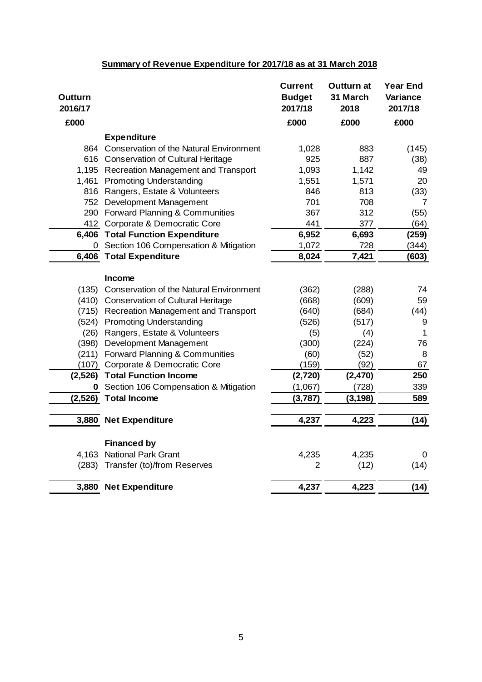## **Summary of Revenue Expenditure for 2017/18 as at 31 March 2018**

| Outturn<br>2016/17 |                                                | <b>Current</b><br><b>Budget</b><br>2017/18 | <b>Outturn at</b><br>31 March<br>2018 | <b>Year End</b><br><b>Variance</b><br>2017/18 |
|--------------------|------------------------------------------------|--------------------------------------------|---------------------------------------|-----------------------------------------------|
| £000               |                                                | £000                                       | £000                                  | £000                                          |
|                    | <b>Expenditure</b>                             |                                            |                                       |                                               |
|                    | 864 Conservation of the Natural Environment    | 1,028                                      | 883                                   | (145)                                         |
|                    | 616 Conservation of Cultural Heritage          | 925                                        | 887                                   | (38)                                          |
|                    | 1,195 Recreation Management and Transport      | 1,093                                      | 1,142                                 | 49                                            |
|                    | 1,461 Promoting Understanding                  | 1,551                                      | 1,571                                 | 20                                            |
|                    | 816 Rangers, Estate & Volunteers               | 846                                        | 813                                   | (33)                                          |
|                    | 752 Development Management                     | 701                                        | 708                                   | 7                                             |
|                    | 290 Forward Planning & Communities             | 367                                        | 312                                   | (55)                                          |
|                    | 412 Corporate & Democratic Core                | 441                                        | 377                                   | (64)                                          |
|                    | 6,406 Total Function Expenditure               | 6,952                                      | 6,693                                 | (259)                                         |
|                    | 0 Section 106 Compensation & Mitigation        | 1,072                                      | 728                                   | (344)                                         |
|                    | 6,406 Total Expenditure                        | 8,024                                      | 7,421                                 | (603)                                         |
|                    |                                                |                                            |                                       |                                               |
|                    | <b>Income</b>                                  |                                            |                                       |                                               |
| (135)              | <b>Conservation of the Natural Environment</b> | (362)                                      | (288)                                 | 74                                            |
|                    | (410) Conservation of Cultural Heritage        | (668)                                      | (609)                                 | 59                                            |
|                    | (715) Recreation Management and Transport      | (640)                                      | (684)                                 | (44)                                          |
| (524)              | <b>Promoting Understanding</b>                 | (526)                                      | (517)                                 | 9                                             |
| (26)               | Rangers, Estate & Volunteers                   | (5)                                        | (4)                                   | 1                                             |
| (398)              | Development Management                         | (300)                                      | (224)                                 | 76                                            |
| (211)              | Forward Planning & Communities                 | (60)                                       | (52)                                  | 8                                             |
|                    | (107) Corporate & Democratic Core              | (159)                                      | (92)                                  | 67                                            |
| (2,526)            | <b>Total Function Income</b>                   | (2,720)                                    | (2,470)                               | 250                                           |
|                    | <b>0</b> Section 106 Compensation & Mitigation | (1,067)                                    | (728)                                 | 339                                           |
|                    | (2,526) Total Income                           | (3,787)                                    | (3, 198)                              | 589                                           |
|                    |                                                |                                            |                                       |                                               |
|                    | 3,880 Net Expenditure                          | 4,237                                      | 4,223                                 | (14)                                          |
|                    | <b>Financed by</b>                             |                                            |                                       |                                               |
| 4,163              | <b>National Park Grant</b>                     | 4,235                                      | 4,235                                 | 0                                             |
| (283)              | Transfer (to)/from Reserves                    | $\overline{2}$                             | (12)                                  | (14)                                          |
|                    |                                                |                                            |                                       |                                               |
|                    | 3,880 Net Expenditure                          | 4,237                                      | 4,223                                 | (14)                                          |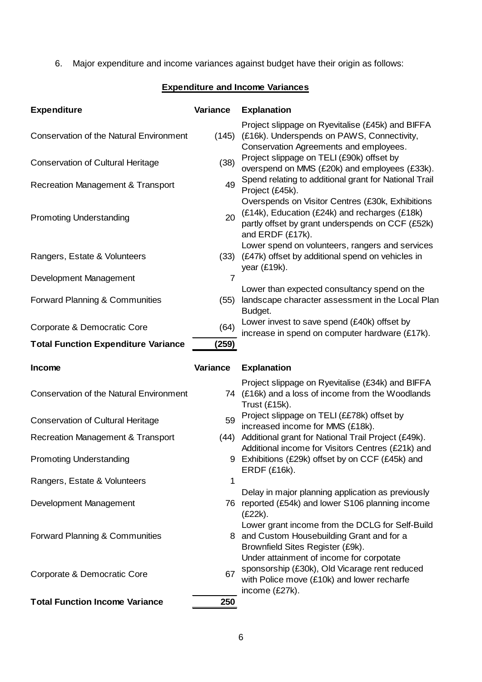6. Major expenditure and income variances against budget have their origin as follows:

# **Expenditure and Income Variances**

| <b>Expenditure</b>                             | Variance | <b>Explanation</b>                                                                                                                                                        |
|------------------------------------------------|----------|---------------------------------------------------------------------------------------------------------------------------------------------------------------------------|
| <b>Conservation of the Natural Environment</b> | (145)    | Project slippage on Ryevitalise (£45k) and BIFFA<br>(£16k). Underspends on PAWS, Connectivity,<br>Conservation Agreements and employees.                                  |
| <b>Conservation of Cultural Heritage</b>       | (38)     | Project slippage on TELI (£90k) offset by<br>overspend on MMS (£20k) and employees (£33k).                                                                                |
| Recreation Management & Transport              | 49       | Spend relating to additional grant for National Trail<br>Project (£45k).                                                                                                  |
| <b>Promoting Understanding</b>                 | 20       | Overspends on Visitor Centres (£30k, Exhibitions<br>(£14k), Education (£24k) and recharges (£18k)<br>partly offset by grant underspends on CCF (£52k)<br>and ERDF (£17k). |
| Rangers, Estate & Volunteers                   | (33)     | Lower spend on volunteers, rangers and services<br>(£47k) offset by additional spend on vehicles in<br>year (£19k).                                                       |
| Development Management                         | 7        |                                                                                                                                                                           |
| Forward Planning & Communities                 | (55)     | Lower than expected consultancy spend on the<br>landscape character assessment in the Local Plan<br>Budget.                                                               |
| Corporate & Democratic Core                    | (64)     | Lower invest to save spend (£40k) offset by<br>increase in spend on computer hardware (£17k).                                                                             |
| <b>Total Function Expenditure Variance</b>     | (259)    |                                                                                                                                                                           |
|                                                |          |                                                                                                                                                                           |
| Income                                         | Variance | <b>Explanation</b>                                                                                                                                                        |
| <b>Conservation of the Natural Environment</b> |          | Project slippage on Ryevitalise (£34k) and BIFFA<br>74 (£16k) and a loss of income from the Woodlands<br>Trust (£15k).                                                    |
| <b>Conservation of Cultural Heritage</b>       | 59       | Project slippage on TELI (££78k) offset by                                                                                                                                |
| Recreation Management & Transport              | (44)     | increased income for MMS (£18k).<br>Additional grant for National Trail Project (£49k).                                                                                   |
| <b>Promoting Understanding</b>                 |          | Additional income for Visitors Centres (£21k) and<br>9 Exhibitions (£29k) offset by on CCF (£45k) and                                                                     |
| Rangers, Estate & Volunteers                   | 1        | <b>ERDF (£16k).</b>                                                                                                                                                       |
| Development Management                         |          | Delay in major planning application as previously<br>76 reported (£54k) and lower S106 planning income<br>$(E22k)$ .                                                      |
| Forward Planning & Communities                 |          | Lower grant income from the DCLG for Self-Build<br>8 and Custom Housebuilding Grant and for a<br>Brownfield Sites Register (£9k).                                         |
| Corporate & Democratic Core                    | 67       | Under attainment of income for corpotate<br>sponsorship (£30k), Old Vicarage rent reduced<br>with Police move (£10k) and lower recharfe<br>income (£27k).                 |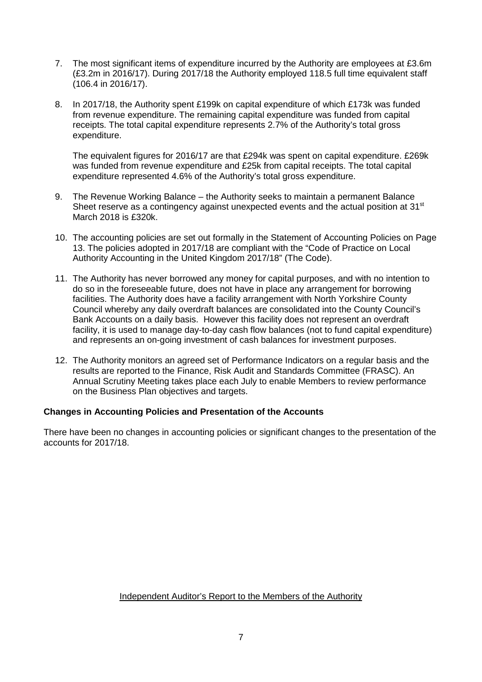- 7. The most significant items of expenditure incurred by the Authority are employees at £3.6m (£3.2m in 2016/17). During 2017/18 the Authority employed 118.5 full time equivalent staff (106.4 in 2016/17).
- 8. In 2017/18, the Authority spent £199k on capital expenditure of which £173k was funded from revenue expenditure. The remaining capital expenditure was funded from capital receipts. The total capital expenditure represents 2.7% of the Authority's total gross expenditure.

The equivalent figures for 2016/17 are that £294k was spent on capital expenditure. £269k was funded from revenue expenditure and £25k from capital receipts. The total capital expenditure represented 4.6% of the Authority's total gross expenditure.

- 9. The Revenue Working Balance the Authority seeks to maintain a permanent Balance Sheet reserve as a contingency against unexpected events and the actual position at 31<sup>st</sup> March 2018 is £320k.
- 10. The accounting policies are set out formally in the Statement of Accounting Policies on Page 13. The policies adopted in 2017/18 are compliant with the "Code of Practice on Local Authority Accounting in the United Kingdom 2017/18" (The Code).
- 11. The Authority has never borrowed any money for capital purposes, and with no intention to do so in the foreseeable future, does not have in place any arrangement for borrowing facilities. The Authority does have a facility arrangement with North Yorkshire County Council whereby any daily overdraft balances are consolidated into the County Council's Bank Accounts on a daily basis. However this facility does not represent an overdraft facility, it is used to manage day-to-day cash flow balances (not to fund capital expenditure) and represents an on-going investment of cash balances for investment purposes.
- 12. The Authority monitors an agreed set of Performance Indicators on a regular basis and the results are reported to the Finance, Risk Audit and Standards Committee (FRASC). An Annual Scrutiny Meeting takes place each July to enable Members to review performance on the Business Plan objectives and targets.

## **Changes in Accounting Policies and Presentation of the Accounts**

There have been no changes in accounting policies or significant changes to the presentation of the accounts for 2017/18.

<span id="page-9-0"></span>Independent Auditor's Report to the Members of the Authority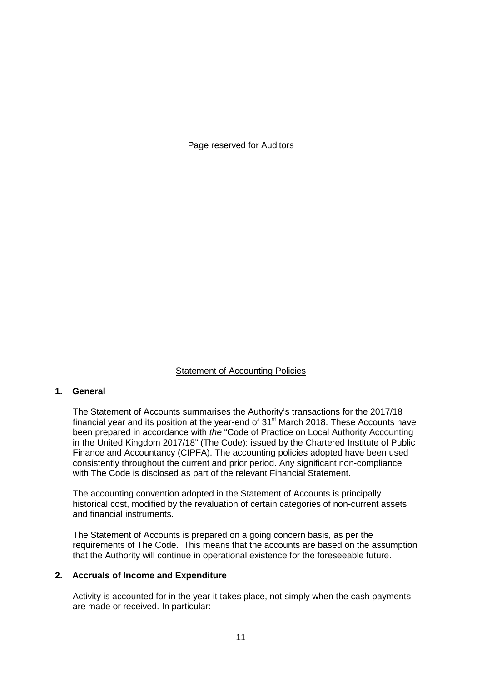#### Statement of Accounting Policies

## <span id="page-13-0"></span>**1. General**

The Statement of Accounts summarises the Authority's transactions for the 2017/18 financial year and its position at the year-end of  $31<sup>st</sup>$  March 2018. These Accounts have been prepared in accordance with *the* "Code of Practice on Local Authority Accounting in the United Kingdom 2017/18" (The Code): issued by the Chartered Institute of Public Finance and Accountancy (CIPFA). The accounting policies adopted have been used consistently throughout the current and prior period. Any significant non-compliance with The Code is disclosed as part of the relevant Financial Statement.

The accounting convention adopted in the Statement of Accounts is principally historical cost, modified by the revaluation of certain categories of non-current assets and financial instruments.

The Statement of Accounts is prepared on a going concern basis, as per the requirements of The Code. This means that the accounts are based on the assumption that the Authority will continue in operational existence for the foreseeable future.

#### **2. Accruals of Income and Expenditure**

Activity is accounted for in the year it takes place, not simply when the cash payments are made or received. In particular: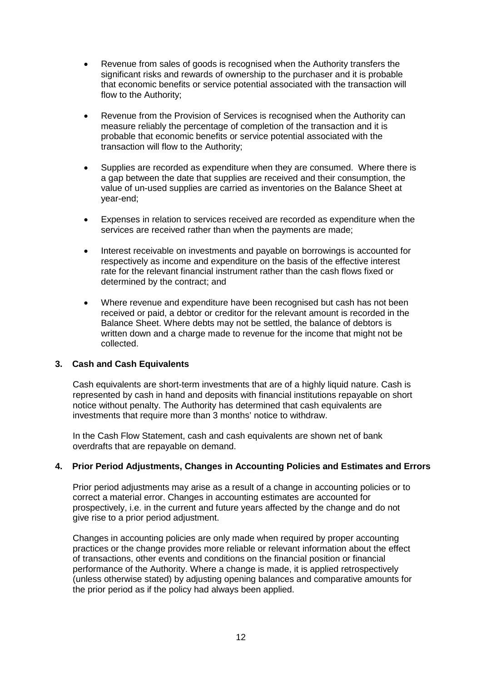- Revenue from sales of goods is recognised when the Authority transfers the significant risks and rewards of ownership to the purchaser and it is probable that economic benefits or service potential associated with the transaction will flow to the Authority;
- Revenue from the Provision of Services is recognised when the Authority can measure reliably the percentage of completion of the transaction and it is probable that economic benefits or service potential associated with the transaction will flow to the Authority;
- Supplies are recorded as expenditure when they are consumed. Where there is a gap between the date that supplies are received and their consumption, the value of un-used supplies are carried as inventories on the Balance Sheet at year-end;
- Expenses in relation to services received are recorded as expenditure when the services are received rather than when the payments are made;
- Interest receivable on investments and payable on borrowings is accounted for respectively as income and expenditure on the basis of the effective interest rate for the relevant financial instrument rather than the cash flows fixed or determined by the contract; and
- Where revenue and expenditure have been recognised but cash has not been received or paid, a debtor or creditor for the relevant amount is recorded in the Balance Sheet. Where debts may not be settled, the balance of debtors is written down and a charge made to revenue for the income that might not be collected.

## **3. Cash and Cash Equivalents**

Cash equivalents are short-term investments that are of a highly liquid nature. Cash is represented by cash in hand and deposits with financial institutions repayable on short notice without penalty. The Authority has determined that cash equivalents are investments that require more than 3 months' notice to withdraw.

In the Cash Flow Statement, cash and cash equivalents are shown net of bank overdrafts that are repayable on demand.

## **4. Prior Period Adjustments, Changes in Accounting Policies and Estimates and Errors**

Prior period adjustments may arise as a result of a change in accounting policies or to correct a material error. Changes in accounting estimates are accounted for prospectively, i.e. in the current and future years affected by the change and do not give rise to a prior period adjustment.

Changes in accounting policies are only made when required by proper accounting practices or the change provides more reliable or relevant information about the effect of transactions, other events and conditions on the financial position or financial performance of the Authority. Where a change is made, it is applied retrospectively (unless otherwise stated) by adjusting opening balances and comparative amounts for the prior period as if the policy had always been applied.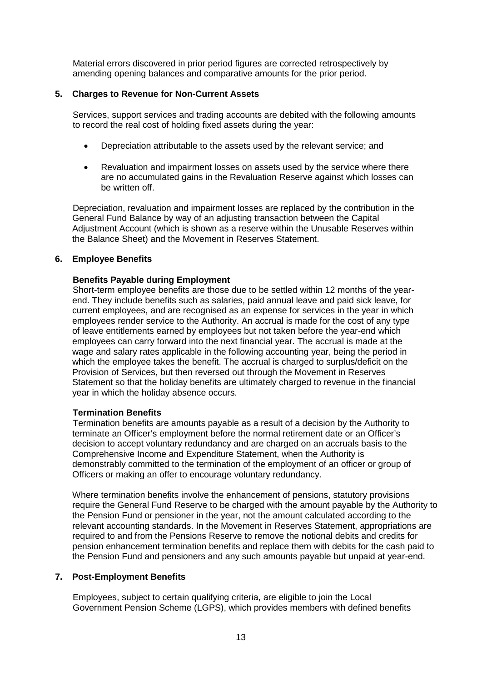Material errors discovered in prior period figures are corrected retrospectively by amending opening balances and comparative amounts for the prior period.

## **5. Charges to Revenue for Non-Current Assets**

Services, support services and trading accounts are debited with the following amounts to record the real cost of holding fixed assets during the year:

- Depreciation attributable to the assets used by the relevant service; and
- Revaluation and impairment losses on assets used by the service where there are no accumulated gains in the Revaluation Reserve against which losses can be written off.

Depreciation, revaluation and impairment losses are replaced by the contribution in the General Fund Balance by way of an adjusting transaction between the Capital Adjustment Account (which is shown as a reserve within the Unusable Reserves within the Balance Sheet) and the Movement in Reserves Statement.

### **6. Employee Benefits**

### **Benefits Payable during Employment**

Short-term employee benefits are those due to be settled within 12 months of the yearend. They include benefits such as salaries, paid annual leave and paid sick leave, for current employees, and are recognised as an expense for services in the year in which employees render service to the Authority. An accrual is made for the cost of any type of leave entitlements earned by employees but not taken before the year-end which employees can carry forward into the next financial year. The accrual is made at the wage and salary rates applicable in the following accounting year, being the period in which the employee takes the benefit. The accrual is charged to surplus/deficit on the Provision of Services, but then reversed out through the Movement in Reserves Statement so that the holiday benefits are ultimately charged to revenue in the financial year in which the holiday absence occurs.

## **Termination Benefits**

Termination benefits are amounts payable as a result of a decision by the Authority to terminate an Officer's employment before the normal retirement date or an Officer's decision to accept voluntary redundancy and are charged on an accruals basis to the Comprehensive Income and Expenditure Statement, when the Authority is demonstrably committed to the termination of the employment of an officer or group of Officers or making an offer to encourage voluntary redundancy.

Where termination benefits involve the enhancement of pensions, statutory provisions require the General Fund Reserve to be charged with the amount payable by the Authority to the Pension Fund or pensioner in the year, not the amount calculated according to the relevant accounting standards. In the Movement in Reserves Statement, appropriations are required to and from the Pensions Reserve to remove the notional debits and credits for pension enhancement termination benefits and replace them with debits for the cash paid to the Pension Fund and pensioners and any such amounts payable but unpaid at year-end.

## **7. Post-Employment Benefits**

Employees, subject to certain qualifying criteria, are eligible to join the Local Government Pension Scheme (LGPS), which provides members with defined benefits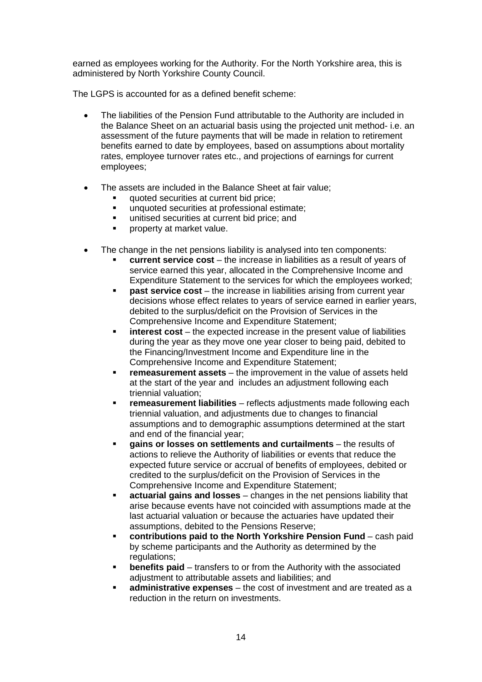earned as employees working for the Authority. For the North Yorkshire area, this is administered by North Yorkshire County Council.

The LGPS is accounted for as a defined benefit scheme:

- The liabilities of the Pension Fund attributable to the Authority are included in the Balance Sheet on an actuarial basis using the projected unit method- i.e. an assessment of the future payments that will be made in relation to retirement benefits earned to date by employees, based on assumptions about mortality rates, employee turnover rates etc., and projections of earnings for current employees;
- The assets are included in the Balance Sheet at fair value;
	- quoted securities at current bid price;
	- **unquoted securities at professional estimate;**
	- unitised securities at current bid price; and
	- **•** property at market value.
- The change in the net pensions liability is analysed into ten components:
	- **current service cost** the increase in liabilities as a result of years of service earned this year, allocated in the Comprehensive Income and Expenditure Statement to the services for which the employees worked;
	- **past service cost** the increase in liabilities arising from current year decisions whose effect relates to years of service earned in earlier years, debited to the surplus/deficit on the Provision of Services in the Comprehensive Income and Expenditure Statement;
	- **interest cost** the expected increase in the present value of liabilities during the year as they move one year closer to being paid, debited to the Financing/Investment Income and Expenditure line in the Comprehensive Income and Expenditure Statement;
	- **remeasurement assets** the improvement in the value of assets held at the start of the year and includes an adjustment following each triennial valuation;
	- **remeasurement liabilities** reflects adjustments made following each triennial valuation, and adjustments due to changes to financial assumptions and to demographic assumptions determined at the start and end of the financial year;
	- **gains or losses on settlements and curtailments** the results of actions to relieve the Authority of liabilities or events that reduce the expected future service or accrual of benefits of employees, debited or credited to the surplus/deficit on the Provision of Services in the Comprehensive Income and Expenditure Statement;
	- **actuarial gains and losses** changes in the net pensions liability that arise because events have not coincided with assumptions made at the last actuarial valuation or because the actuaries have updated their assumptions, debited to the Pensions Reserve;
	- **contributions paid to the North Yorkshire Pension Fund** cash paid by scheme participants and the Authority as determined by the regulations:
	- **benefits paid** transfers to or from the Authority with the associated adjustment to attributable assets and liabilities; and
	- **administrative expenses** the cost of investment and are treated as a reduction in the return on investments.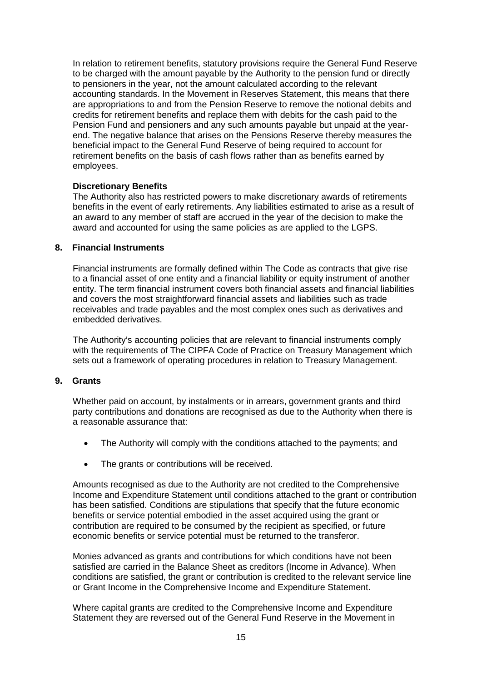In relation to retirement benefits, statutory provisions require the General Fund Reserve to be charged with the amount payable by the Authority to the pension fund or directly to pensioners in the year, not the amount calculated according to the relevant accounting standards. In the Movement in Reserves Statement, this means that there are appropriations to and from the Pension Reserve to remove the notional debits and credits for retirement benefits and replace them with debits for the cash paid to the Pension Fund and pensioners and any such amounts payable but unpaid at the yearend. The negative balance that arises on the Pensions Reserve thereby measures the beneficial impact to the General Fund Reserve of being required to account for retirement benefits on the basis of cash flows rather than as benefits earned by employees.

### **Discretionary Benefits**

The Authority also has restricted powers to make discretionary awards of retirements benefits in the event of early retirements. Any liabilities estimated to arise as a result of an award to any member of staff are accrued in the year of the decision to make the award and accounted for using the same policies as are applied to the LGPS.

### **8. Financial Instruments**

Financial instruments are formally defined within The Code as contracts that give rise to a financial asset of one entity and a financial liability or equity instrument of another entity. The term financial instrument covers both financial assets and financial liabilities and covers the most straightforward financial assets and liabilities such as trade receivables and trade payables and the most complex ones such as derivatives and embedded derivatives.

The Authority's accounting policies that are relevant to financial instruments comply with the requirements of The CIPFA Code of Practice on Treasury Management which sets out a framework of operating procedures in relation to Treasury Management.

#### **9. Grants**

Whether paid on account, by instalments or in arrears, government grants and third party contributions and donations are recognised as due to the Authority when there is a reasonable assurance that:

- The Authority will comply with the conditions attached to the payments; and
- The grants or contributions will be received.

Amounts recognised as due to the Authority are not credited to the Comprehensive Income and Expenditure Statement until conditions attached to the grant or contribution has been satisfied. Conditions are stipulations that specify that the future economic benefits or service potential embodied in the asset acquired using the grant or contribution are required to be consumed by the recipient as specified, or future economic benefits or service potential must be returned to the transferor.

Monies advanced as grants and contributions for which conditions have not been satisfied are carried in the Balance Sheet as creditors (Income in Advance). When conditions are satisfied, the grant or contribution is credited to the relevant service line or Grant Income in the Comprehensive Income and Expenditure Statement.

Where capital grants are credited to the Comprehensive Income and Expenditure Statement they are reversed out of the General Fund Reserve in the Movement in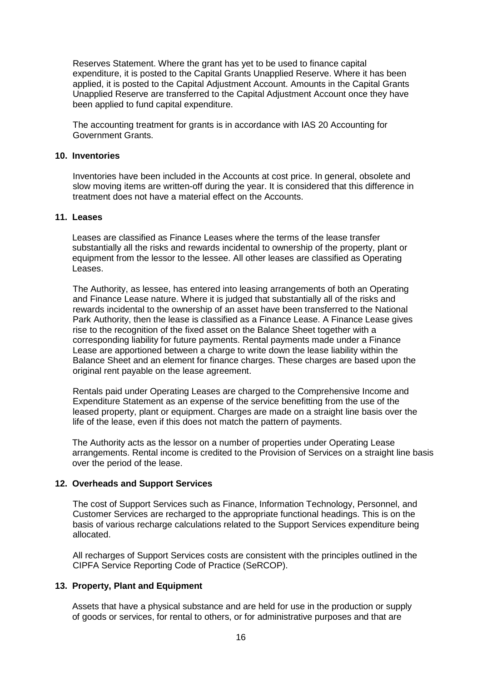Reserves Statement. Where the grant has yet to be used to finance capital expenditure, it is posted to the Capital Grants Unapplied Reserve. Where it has been applied, it is posted to the Capital Adjustment Account. Amounts in the Capital Grants Unapplied Reserve are transferred to the Capital Adjustment Account once they have been applied to fund capital expenditure.

The accounting treatment for grants is in accordance with IAS 20 Accounting for Government Grants.

### **10. Inventories**

Inventories have been included in the Accounts at cost price. In general, obsolete and slow moving items are written-off during the year. It is considered that this difference in treatment does not have a material effect on the Accounts.

#### **11. Leases**

Leases are classified as Finance Leases where the terms of the lease transfer substantially all the risks and rewards incidental to ownership of the property, plant or equipment from the lessor to the lessee. All other leases are classified as Operating Leases.

The Authority, as lessee, has entered into leasing arrangements of both an Operating and Finance Lease nature. Where it is judged that substantially all of the risks and rewards incidental to the ownership of an asset have been transferred to the National Park Authority, then the lease is classified as a Finance Lease. A Finance Lease gives rise to the recognition of the fixed asset on the Balance Sheet together with a corresponding liability for future payments. Rental payments made under a Finance Lease are apportioned between a charge to write down the lease liability within the Balance Sheet and an element for finance charges. These charges are based upon the original rent payable on the lease agreement.

Rentals paid under Operating Leases are charged to the Comprehensive Income and Expenditure Statement as an expense of the service benefitting from the use of the leased property, plant or equipment. Charges are made on a straight line basis over the life of the lease, even if this does not match the pattern of payments.

The Authority acts as the lessor on a number of properties under Operating Lease arrangements. Rental income is credited to the Provision of Services on a straight line basis over the period of the lease.

#### **12. Overheads and Support Services**

The cost of Support Services such as Finance, Information Technology, Personnel, and Customer Services are recharged to the appropriate functional headings. This is on the basis of various recharge calculations related to the Support Services expenditure being allocated.

All recharges of Support Services costs are consistent with the principles outlined in the CIPFA Service Reporting Code of Practice (SeRCOP).

#### **13. Property, Plant and Equipment**

Assets that have a physical substance and are held for use in the production or supply of goods or services, for rental to others, or for administrative purposes and that are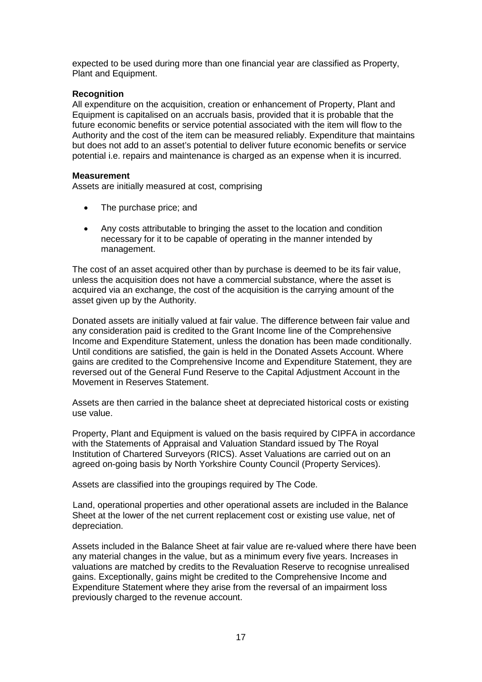expected to be used during more than one financial year are classified as Property, Plant and Equipment.

### **Recognition**

All expenditure on the acquisition, creation or enhancement of Property, Plant and Equipment is capitalised on an accruals basis, provided that it is probable that the future economic benefits or service potential associated with the item will flow to the Authority and the cost of the item can be measured reliably. Expenditure that maintains but does not add to an asset's potential to deliver future economic benefits or service potential i.e. repairs and maintenance is charged as an expense when it is incurred.

#### **Measurement**

Assets are initially measured at cost, comprising

- The purchase price; and
- Any costs attributable to bringing the asset to the location and condition necessary for it to be capable of operating in the manner intended by management.

The cost of an asset acquired other than by purchase is deemed to be its fair value, unless the acquisition does not have a commercial substance, where the asset is acquired via an exchange, the cost of the acquisition is the carrying amount of the asset given up by the Authority.

Donated assets are initially valued at fair value. The difference between fair value and any consideration paid is credited to the Grant Income line of the Comprehensive Income and Expenditure Statement, unless the donation has been made conditionally. Until conditions are satisfied, the gain is held in the Donated Assets Account. Where gains are credited to the Comprehensive Income and Expenditure Statement, they are reversed out of the General Fund Reserve to the Capital Adjustment Account in the Movement in Reserves Statement.

Assets are then carried in the balance sheet at depreciated historical costs or existing use value.

Property, Plant and Equipment is valued on the basis required by CIPFA in accordance with the Statements of Appraisal and Valuation Standard issued by The Royal Institution of Chartered Surveyors (RICS). Asset Valuations are carried out on an agreed on-going basis by North Yorkshire County Council (Property Services).

Assets are classified into the groupings required by The Code.

Land, operational properties and other operational assets are included in the Balance Sheet at the lower of the net current replacement cost or existing use value, net of depreciation.

Assets included in the Balance Sheet at fair value are re-valued where there have been any material changes in the value, but as a minimum every five years. Increases in valuations are matched by credits to the Revaluation Reserve to recognise unrealised gains. Exceptionally, gains might be credited to the Comprehensive Income and Expenditure Statement where they arise from the reversal of an impairment loss previously charged to the revenue account.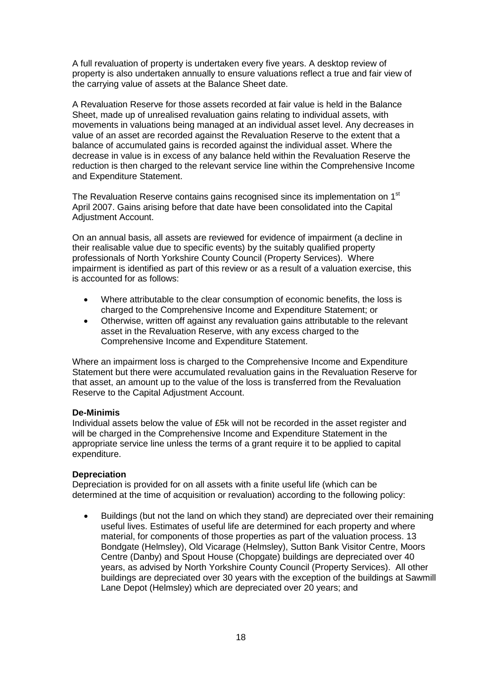A full revaluation of property is undertaken every five years. A desktop review of property is also undertaken annually to ensure valuations reflect a true and fair view of the carrying value of assets at the Balance Sheet date.

A Revaluation Reserve for those assets recorded at fair value is held in the Balance Sheet, made up of unrealised revaluation gains relating to individual assets, with movements in valuations being managed at an individual asset level. Any decreases in value of an asset are recorded against the Revaluation Reserve to the extent that a balance of accumulated gains is recorded against the individual asset. Where the decrease in value is in excess of any balance held within the Revaluation Reserve the reduction is then charged to the relevant service line within the Comprehensive Income and Expenditure Statement.

The Revaluation Reserve contains gains recognised since its implementation on 1<sup>st</sup> April 2007. Gains arising before that date have been consolidated into the Capital Adjustment Account.

On an annual basis, all assets are reviewed for evidence of impairment (a decline in their realisable value due to specific events) by the suitably qualified property professionals of North Yorkshire County Council (Property Services). Where impairment is identified as part of this review or as a result of a valuation exercise, this is accounted for as follows:

- Where attributable to the clear consumption of economic benefits, the loss is charged to the Comprehensive Income and Expenditure Statement; or
- Otherwise, written off against any revaluation gains attributable to the relevant asset in the Revaluation Reserve, with any excess charged to the Comprehensive Income and Expenditure Statement.

Where an impairment loss is charged to the Comprehensive Income and Expenditure Statement but there were accumulated revaluation gains in the Revaluation Reserve for that asset, an amount up to the value of the loss is transferred from the Revaluation Reserve to the Capital Adjustment Account.

#### **De-Minimis**

Individual assets below the value of £5k will not be recorded in the asset register and will be charged in the Comprehensive Income and Expenditure Statement in the appropriate service line unless the terms of a grant require it to be applied to capital expenditure.

#### **Depreciation**

Depreciation is provided for on all assets with a finite useful life (which can be determined at the time of acquisition or revaluation) according to the following policy:

• Buildings (but not the land on which they stand) are depreciated over their remaining useful lives. Estimates of useful life are determined for each property and where material, for components of those properties as part of the valuation process. 13 Bondgate (Helmsley), Old Vicarage (Helmsley), Sutton Bank Visitor Centre, Moors Centre (Danby) and Spout House (Chopgate) buildings are depreciated over 40 years, as advised by North Yorkshire County Council (Property Services). All other buildings are depreciated over 30 years with the exception of the buildings at Sawmill Lane Depot (Helmsley) which are depreciated over 20 years; and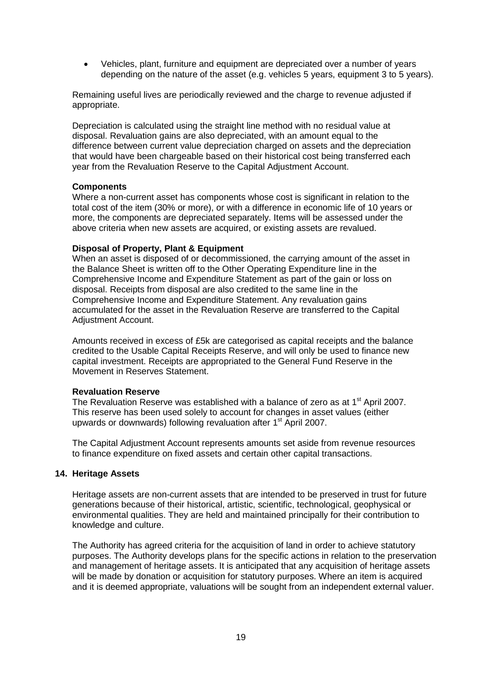• Vehicles, plant, furniture and equipment are depreciated over a number of years depending on the nature of the asset (e.g. vehicles 5 years, equipment 3 to 5 years).

Remaining useful lives are periodically reviewed and the charge to revenue adjusted if appropriate.

Depreciation is calculated using the straight line method with no residual value at disposal. Revaluation gains are also depreciated, with an amount equal to the difference between current value depreciation charged on assets and the depreciation that would have been chargeable based on their historical cost being transferred each year from the Revaluation Reserve to the Capital Adjustment Account.

#### **Components**

Where a non-current asset has components whose cost is significant in relation to the total cost of the item (30% or more), or with a difference in economic life of 10 years or more, the components are depreciated separately. Items will be assessed under the above criteria when new assets are acquired, or existing assets are revalued.

#### **Disposal of Property, Plant & Equipment**

When an asset is disposed of or decommissioned, the carrying amount of the asset in the Balance Sheet is written off to the Other Operating Expenditure line in the Comprehensive Income and Expenditure Statement as part of the gain or loss on disposal. Receipts from disposal are also credited to the same line in the Comprehensive Income and Expenditure Statement. Any revaluation gains accumulated for the asset in the Revaluation Reserve are transferred to the Capital Adjustment Account.

Amounts received in excess of £5k are categorised as capital receipts and the balance credited to the Usable Capital Receipts Reserve, and will only be used to finance new capital investment. Receipts are appropriated to the General Fund Reserve in the Movement in Reserves Statement.

#### **Revaluation Reserve**

The Revaluation Reserve was established with a balance of zero as at  $1<sup>st</sup>$  April 2007. This reserve has been used solely to account for changes in asset values (either upwards or downwards) following revaluation after 1st April 2007.

The Capital Adjustment Account represents amounts set aside from revenue resources to finance expenditure on fixed assets and certain other capital transactions.

#### **14. Heritage Assets**

Heritage assets are non-current assets that are intended to be preserved in trust for future generations because of their historical, artistic, scientific, technological, geophysical or environmental qualities. They are held and maintained principally for their contribution to knowledge and culture.

The Authority has agreed criteria for the acquisition of land in order to achieve statutory purposes. The Authority develops plans for the specific actions in relation to the preservation and management of heritage assets. It is anticipated that any acquisition of heritage assets will be made by donation or acquisition for statutory purposes. Where an item is acquired and it is deemed appropriate, valuations will be sought from an independent external valuer.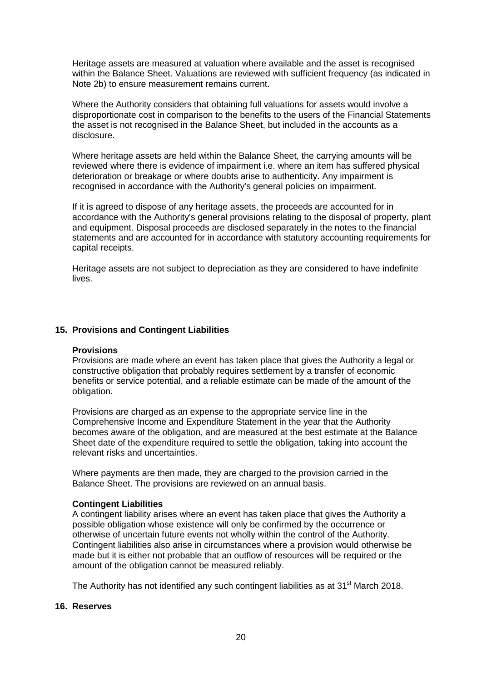Heritage assets are measured at valuation where available and the asset is recognised within the Balance Sheet. Valuations are reviewed with sufficient frequency (as indicated in Note 2b) to ensure measurement remains current.

Where the Authority considers that obtaining full valuations for assets would involve a disproportionate cost in comparison to the benefits to the users of the Financial Statements the asset is not recognised in the Balance Sheet, but included in the accounts as a disclosure.

Where heritage assets are held within the Balance Sheet, the carrying amounts will be reviewed where there is evidence of impairment i.e. where an item has suffered physical deterioration or breakage or where doubts arise to authenticity. Any impairment is recognised in accordance with the Authority's general policies on impairment.

If it is agreed to dispose of any heritage assets, the proceeds are accounted for in accordance with the Authority's general provisions relating to the disposal of property, plant and equipment. Disposal proceeds are disclosed separately in the notes to the financial statements and are accounted for in accordance with statutory accounting requirements for capital receipts.

Heritage assets are not subject to depreciation as they are considered to have indefinite lives.

## **15. Provisions and Contingent Liabilities**

#### **Provisions**

Provisions are made where an event has taken place that gives the Authority a legal or constructive obligation that probably requires settlement by a transfer of economic benefits or service potential, and a reliable estimate can be made of the amount of the obligation.

Provisions are charged as an expense to the appropriate service line in the Comprehensive Income and Expenditure Statement in the year that the Authority becomes aware of the obligation, and are measured at the best estimate at the Balance Sheet date of the expenditure required to settle the obligation, taking into account the relevant risks and uncertainties.

Where payments are then made, they are charged to the provision carried in the Balance Sheet. The provisions are reviewed on an annual basis.

#### **Contingent Liabilities**

A contingent liability arises where an event has taken place that gives the Authority a possible obligation whose existence will only be confirmed by the occurrence or otherwise of uncertain future events not wholly within the control of the Authority. Contingent liabilities also arise in circumstances where a provision would otherwise be made but it is either not probable that an outflow of resources will be required or the amount of the obligation cannot be measured reliably.

The Authority has not identified any such contingent liabilities as at 31<sup>st</sup> March 2018.

#### **16. Reserves**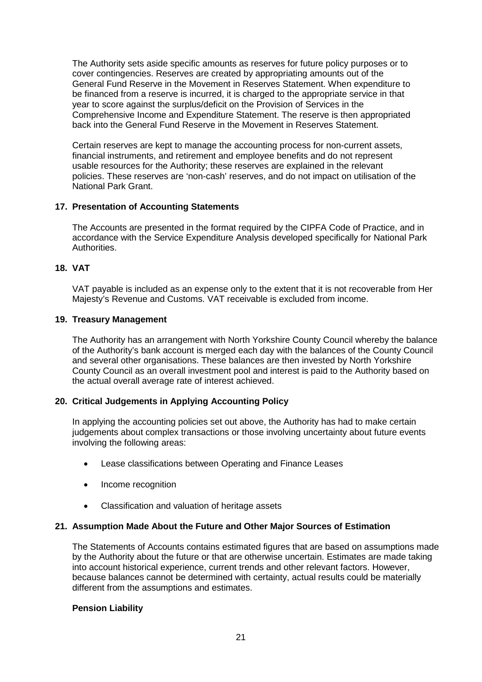The Authority sets aside specific amounts as reserves for future policy purposes or to cover contingencies. Reserves are created by appropriating amounts out of the General Fund Reserve in the Movement in Reserves Statement. When expenditure to be financed from a reserve is incurred, it is charged to the appropriate service in that year to score against the surplus/deficit on the Provision of Services in the Comprehensive Income and Expenditure Statement. The reserve is then appropriated back into the General Fund Reserve in the Movement in Reserves Statement.

Certain reserves are kept to manage the accounting process for non-current assets, financial instruments, and retirement and employee benefits and do not represent usable resources for the Authority; these reserves are explained in the relevant policies. These reserves are 'non-cash' reserves, and do not impact on utilisation of the National Park Grant.

## **17. Presentation of Accounting Statements**

The Accounts are presented in the format required by the CIPFA Code of Practice, and in accordance with the Service Expenditure Analysis developed specifically for National Park Authorities.

## **18. VAT**

VAT payable is included as an expense only to the extent that it is not recoverable from Her Majesty's Revenue and Customs. VAT receivable is excluded from income.

## **19. Treasury Management**

The Authority has an arrangement with North Yorkshire County Council whereby the balance of the Authority's bank account is merged each day with the balances of the County Council and several other organisations. These balances are then invested by North Yorkshire County Council as an overall investment pool and interest is paid to the Authority based on the actual overall average rate of interest achieved.

## **20. Critical Judgements in Applying Accounting Policy**

In applying the accounting policies set out above, the Authority has had to make certain judgements about complex transactions or those involving uncertainty about future events involving the following areas:

- Lease classifications between Operating and Finance Leases
- Income recognition
- Classification and valuation of heritage assets

## **21. Assumption Made About the Future and Other Major Sources of Estimation**

The Statements of Accounts contains estimated figures that are based on assumptions made by the Authority about the future or that are otherwise uncertain. Estimates are made taking into account historical experience, current trends and other relevant factors. However, because balances cannot be determined with certainty, actual results could be materially different from the assumptions and estimates.

## **Pension Liability**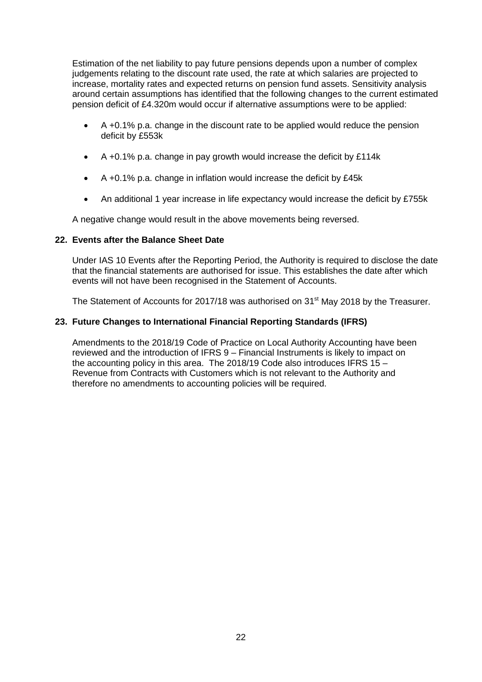Estimation of the net liability to pay future pensions depends upon a number of complex judgements relating to the discount rate used, the rate at which salaries are projected to increase, mortality rates and expected returns on pension fund assets. Sensitivity analysis around certain assumptions has identified that the following changes to the current estimated pension deficit of £4.320m would occur if alternative assumptions were to be applied:

- A +0.1% p.a. change in the discount rate to be applied would reduce the pension deficit by £553k
- A +0.1% p.a. change in pay growth would increase the deficit by £114k
- A +0.1% p.a. change in inflation would increase the deficit by £45k
- An additional 1 year increase in life expectancy would increase the deficit by £755k

A negative change would result in the above movements being reversed.

## **22. Events after the Balance Sheet Date**

Under IAS 10 Events after the Reporting Period, the Authority is required to disclose the date that the financial statements are authorised for issue. This establishes the date after which events will not have been recognised in the Statement of Accounts.

The Statement of Accounts for 2017/18 was authorised on 31<sup>st</sup> May 2018 by the Treasurer.

## **23. Future Changes to International Financial Reporting Standards (IFRS)**

Amendments to the 2018/19 Code of Practice on Local Authority Accounting have been reviewed and the introduction of IFRS 9 – Financial Instruments is likely to impact on the accounting policy in this area. The 2018/19 Code also introduces IFRS 15 – Revenue from Contracts with Customers which is not relevant to the Authority and therefore no amendments to accounting policies will be required.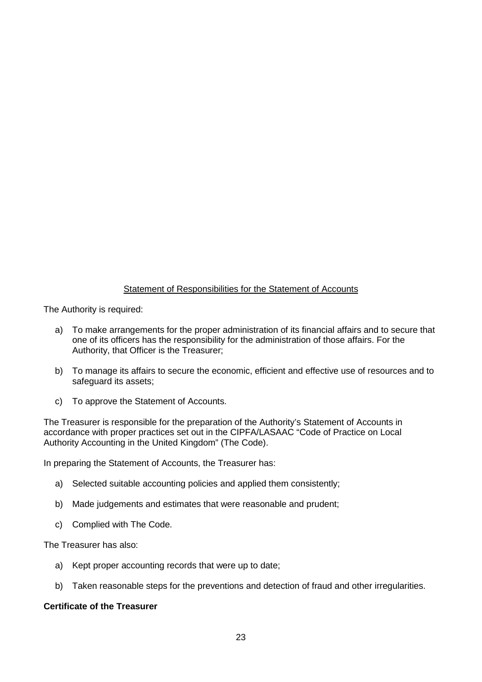## Statement of Responsibilities for the Statement of Accounts

<span id="page-25-0"></span>The Authority is required:

- a) To make arrangements for the proper administration of its financial affairs and to secure that one of its officers has the responsibility for the administration of those affairs. For the Authority, that Officer is the Treasurer;
- b) To manage its affairs to secure the economic, efficient and effective use of resources and to safeguard its assets;
- c) To approve the Statement of Accounts.

The Treasurer is responsible for the preparation of the Authority's Statement of Accounts in accordance with proper practices set out in the CIPFA/LASAAC "Code of Practice on Local Authority Accounting in the United Kingdom" (The Code).

In preparing the Statement of Accounts, the Treasurer has:

- a) Selected suitable accounting policies and applied them consistently;
- b) Made judgements and estimates that were reasonable and prudent;
- c) Complied with The Code.

The Treasurer has also:

- a) Kept proper accounting records that were up to date;
- b) Taken reasonable steps for the preventions and detection of fraud and other irregularities.

## **Certificate of the Treasurer**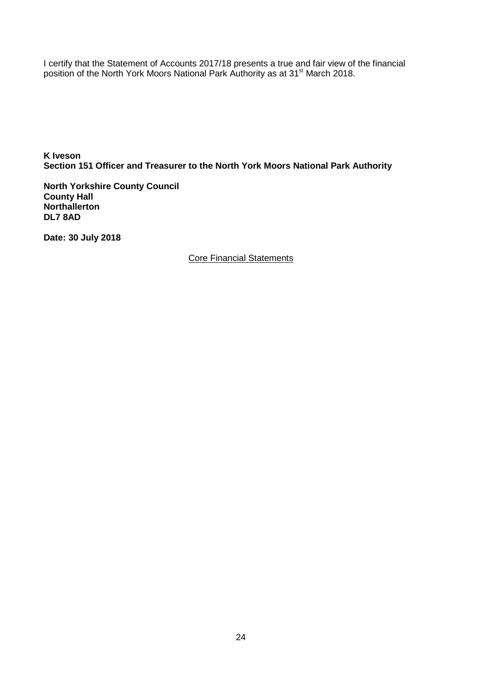I certify that the Statement of Accounts 2017/18 presents a true and fair view of the financial position of the North York Moors National Park Authority as at 31<sup>st</sup> March 2018.

**K Iveson Section 151 Officer and Treasurer to the North York Moors National Park Authority**

**North Yorkshire County Council County Hall Northallerton DL7 8AD**

<span id="page-26-0"></span>**Date: 30 July 2018**

Core Financial Statements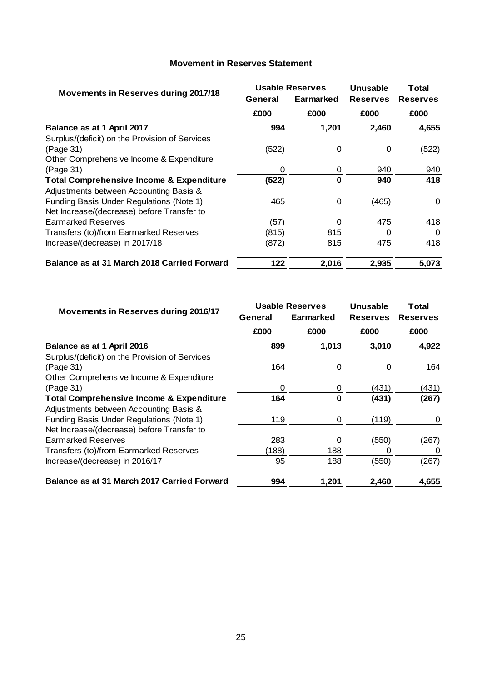## **Movement in Reserves Statement**

<span id="page-27-0"></span>

|                                                     |         | <b>Usable Reserves</b> | Unusable        | <b>Total</b>    |  |
|-----------------------------------------------------|---------|------------------------|-----------------|-----------------|--|
| Movements in Reserves during 2017/18                | General | Earmarked              | <b>Reserves</b> | <b>Reserves</b> |  |
|                                                     | £000    | £000                   | £000            | £000            |  |
| Balance as at 1 April 2017                          | 994     | 1,201                  | 2,460           | 4,655           |  |
| Surplus/(deficit) on the Provision of Services      |         |                        |                 |                 |  |
| (Page 31)                                           | (522)   | 0                      | 0               | (522)           |  |
| Other Comprehensive Income & Expenditure            |         |                        |                 |                 |  |
| (Page 31)                                           | 0       | 0                      | 940             | 940             |  |
| <b>Total Comprehensive Income &amp; Expenditure</b> | (522)   | 0                      | 940             | 418             |  |
| Adjustments between Accounting Basis &              |         |                        |                 |                 |  |
| Funding Basis Under Regulations (Note 1)            | 465     | 0                      | (465)           | 0               |  |
| Net Increase/(decrease) before Transfer to          |         |                        |                 |                 |  |
| <b>Earmarked Reserves</b>                           | (57)    | $\Omega$               | 475             | 418             |  |
| Transfers (to)/from Earmarked Reserves              | (815)   | 815                    | 0               | 0               |  |
| Increase/(decrease) in 2017/18                      | (872)   | 815                    | 475             | 418             |  |
| <b>Balance as at 31 March 2018 Carried Forward</b>  | 122     | 2,016                  | 2,935           | 5,073           |  |

| Movements in Reserves during 2016/17                |         | <b>Usable Reserves</b> | Unusable        | Total           |  |
|-----------------------------------------------------|---------|------------------------|-----------------|-----------------|--|
|                                                     | General | Earmarked              | <b>Reserves</b> | <b>Reserves</b> |  |
|                                                     | £000    | £000                   | £000            | £000            |  |
| Balance as at 1 April 2016                          | 899     | 1,013                  | 3,010           | 4,922           |  |
| Surplus/(deficit) on the Provision of Services      |         |                        |                 |                 |  |
| (Page 31)                                           | 164     | $\Omega$               | 0               | 164             |  |
| Other Comprehensive Income & Expenditure            |         |                        |                 |                 |  |
| (Page 31)                                           | 0       | 0                      | (431)           | (431)           |  |
| <b>Total Comprehensive Income &amp; Expenditure</b> | 164     | 0                      | (431)           | (267)           |  |
| Adjustments between Accounting Basis &              |         |                        |                 |                 |  |
| Funding Basis Under Regulations (Note 1)            | 119     | 0                      | (119)           | 0               |  |
| Net Increase/(decrease) before Transfer to          |         |                        |                 |                 |  |
| <b>Earmarked Reserves</b>                           | 283     | 0                      | (550)           | (267)           |  |
| Transfers (to)/from Earmarked Reserves              | (188)   | 188                    | O               | 0               |  |
| Increase/(decrease) in 2016/17                      | 95      | 188                    | (550)           | (267)           |  |
| Balance as at 31 March 2017 Carried Forward         | 994     | 1,201                  | 2,460           | 4,655           |  |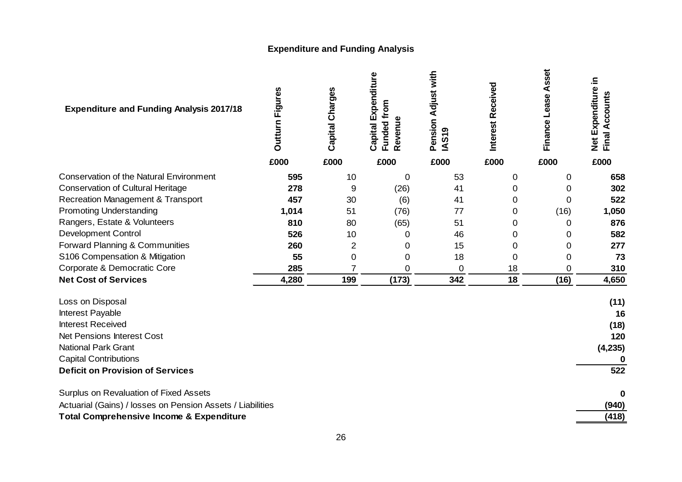# **Expenditure and Funding Analysis**

<span id="page-28-0"></span>

| <b>Expenditure and Funding Analysis 2017/18</b>            | <b>Figures</b><br><b>Outturn</b> | Capital Charges | Capital Expenditure<br>from<br>evenue<br>Funded<br>œ | Pension Adjust with<br>S <sub>19</sub><br>≤ | Received<br><b>Interest</b> | Asset<br>Finance Lease | Net Expenditure in<br>ccount<br>⋖<br>Final |
|------------------------------------------------------------|----------------------------------|-----------------|------------------------------------------------------|---------------------------------------------|-----------------------------|------------------------|--------------------------------------------|
|                                                            | £000                             | £000            | £000                                                 | £000                                        | £000                        | £000                   | £000                                       |
| <b>Conservation of the Natural Environment</b>             | 595                              | 10              | 0                                                    | 53                                          | 0                           | $\mathbf 0$            | 658                                        |
| <b>Conservation of Cultural Heritage</b>                   | 278                              | 9               | (26)                                                 | 41                                          | 0                           | 0                      | 302                                        |
| <b>Recreation Management &amp; Transport</b>               | 457                              | 30              | (6)                                                  | 41                                          | 0                           | 0                      | 522                                        |
| <b>Promoting Understanding</b>                             | 1,014                            | 51              | (76)                                                 | 77                                          | $\Omega$                    | (16)                   | 1,050                                      |
| Rangers, Estate & Volunteers                               | 810                              | 80              | (65)                                                 | 51                                          | 0                           | 0                      | 876                                        |
| <b>Development Control</b>                                 | 526                              | 10              | 0                                                    | 46                                          | 0                           | 0                      | 582                                        |
| Forward Planning & Communities                             | 260                              | 2               | 0                                                    | 15                                          | $\Omega$                    | 0                      | 277                                        |
| S106 Compensation & Mitigation                             | 55                               | $\mathbf 0$     | 0                                                    | 18                                          | $\overline{0}$              | 0                      | 73                                         |
| Corporate & Democratic Core                                | 285                              | 7               | 0                                                    | $\mathbf 0$                                 | 18                          | 0                      | 310                                        |
| <b>Net Cost of Services</b>                                | 4,280                            | 199             | (173)                                                | 342                                         | 18                          | (16)                   | 4,650                                      |
| Loss on Disposal                                           |                                  |                 |                                                      |                                             |                             |                        | (11)                                       |
| Interest Payable                                           |                                  |                 |                                                      |                                             |                             |                        | 16                                         |
| <b>Interest Received</b>                                   |                                  |                 |                                                      |                                             |                             |                        | (18)                                       |
| <b>Net Pensions Interest Cost</b>                          |                                  |                 |                                                      |                                             |                             |                        | 120                                        |
| <b>National Park Grant</b>                                 |                                  |                 |                                                      |                                             |                             |                        | (4, 235)                                   |
| <b>Capital Contributions</b>                               |                                  |                 |                                                      |                                             |                             |                        |                                            |
| <b>Deficit on Provision of Services</b>                    |                                  |                 |                                                      |                                             |                             |                        | 522                                        |
| Surplus on Revaluation of Fixed Assets                     |                                  |                 |                                                      |                                             |                             |                        | 0                                          |
| Actuarial (Gains) / losses on Pension Assets / Liabilities |                                  |                 |                                                      |                                             |                             |                        | (940)                                      |
| <b>Total Comprehensive Income &amp; Expenditure</b>        |                                  |                 |                                                      |                                             |                             |                        | (418)                                      |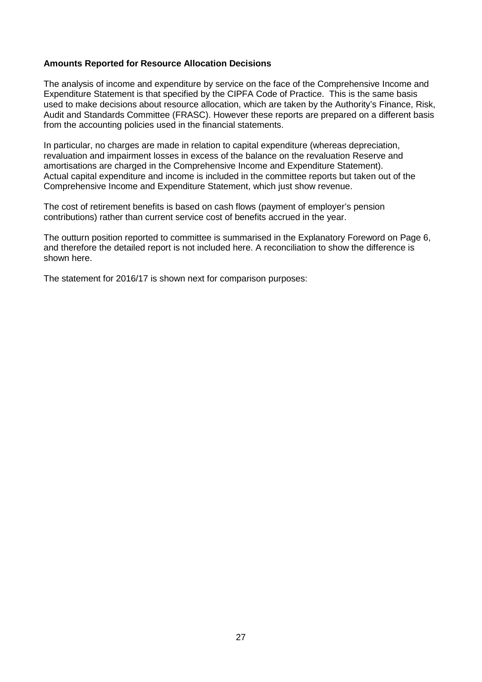## **Amounts Reported for Resource Allocation Decisions**

The analysis of income and expenditure by service on the face of the Comprehensive Income and Expenditure Statement is that specified by the CIPFA Code of Practice. This is the same basis used to make decisions about resource allocation, which are taken by the Authority's Finance, Risk, Audit and Standards Committee (FRASC). However these reports are prepared on a different basis from the accounting policies used in the financial statements.

In particular, no charges are made in relation to capital expenditure (whereas depreciation, revaluation and impairment losses in excess of the balance on the revaluation Reserve and amortisations are charged in the Comprehensive Income and Expenditure Statement). Actual capital expenditure and income is included in the committee reports but taken out of the Comprehensive Income and Expenditure Statement, which just show revenue.

The cost of retirement benefits is based on cash flows (payment of employer's pension contributions) rather than current service cost of benefits accrued in the year.

The outturn position reported to committee is summarised in the Explanatory Foreword on Page 6, and therefore the detailed report is not included here. A reconciliation to show the difference is shown here.

The statement for 2016/17 is shown next for comparison purposes: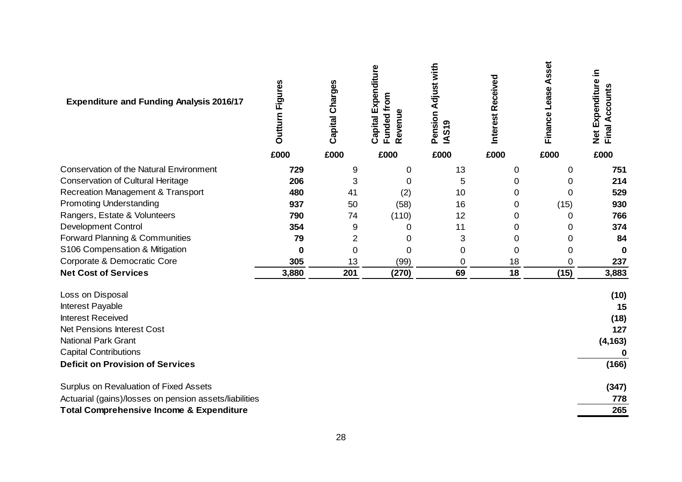| <b>Expenditure and Funding Analysis 2016/17</b>        | <b>Outturn Figures</b> | Capital Charges | Capital Expenditure<br>Funded from<br>Revenue | Pension Adjust with<br>S <sub>19</sub><br>₹ | Interest Received | Asset<br>Finance Lease | Net Expenditure in<br>Final Accounts |
|--------------------------------------------------------|------------------------|-----------------|-----------------------------------------------|---------------------------------------------|-------------------|------------------------|--------------------------------------|
|                                                        | £000                   | £000            | £000                                          | £000                                        | £000              | £000                   | £000                                 |
| <b>Conservation of the Natural Environment</b>         | 729                    | 9               | 0                                             | 13                                          | 0                 | 0                      | 751                                  |
| <b>Conservation of Cultural Heritage</b>               | 206                    | 3               | 0                                             | 5                                           | 0                 | 0                      | 214                                  |
| <b>Recreation Management &amp; Transport</b>           | 480                    | 41              | (2)                                           | 10                                          | 0                 | $\mathbf 0$            | 529                                  |
| <b>Promoting Understanding</b>                         | 937                    | 50              | (58)                                          | 16                                          | 0                 | (15)                   | 930                                  |
| Rangers, Estate & Volunteers                           | 790                    | 74              | (110)                                         | 12                                          | 0                 | 0                      | 766                                  |
| <b>Development Control</b>                             | 354                    | 9               | 0                                             | 11                                          | 0                 | 0                      | 374                                  |
| Forward Planning & Communities                         | 79                     | $\overline{2}$  | 0                                             | 3                                           | 0                 | 0                      | 84                                   |
| S106 Compensation & Mitigation                         | $\bf{0}$               | $\mathbf 0$     | 0                                             | 0                                           | 0                 | 0                      | 0                                    |
| Corporate & Democratic Core                            | 305                    | 13              | (99)                                          | 0                                           | 18                | 0                      | 237                                  |
| <b>Net Cost of Services</b>                            | 3,880                  | 201             | (270)                                         | 69                                          | 18                | (15)                   | 3,883                                |
| Loss on Disposal                                       |                        |                 |                                               |                                             |                   |                        | (10)                                 |
| Interest Payable                                       |                        |                 |                                               |                                             |                   |                        | 15                                   |
| <b>Interest Received</b>                               |                        |                 |                                               |                                             |                   |                        | (18)                                 |
| <b>Net Pensions Interest Cost</b>                      |                        |                 |                                               |                                             |                   |                        | 127                                  |
| <b>National Park Grant</b>                             |                        |                 |                                               |                                             |                   |                        | (4, 163)                             |
| <b>Capital Contributions</b>                           |                        |                 |                                               |                                             |                   |                        | 0                                    |
| <b>Deficit on Provision of Services</b>                |                        |                 |                                               |                                             |                   |                        | (166)                                |
| Surplus on Revaluation of Fixed Assets                 |                        |                 |                                               |                                             |                   |                        | (347)                                |
| Actuarial (gains)/losses on pension assets/liabilities |                        |                 |                                               |                                             |                   |                        | 778                                  |
| <b>Total Comprehensive Income &amp; Expenditure</b>    |                        |                 |                                               |                                             |                   |                        | 265                                  |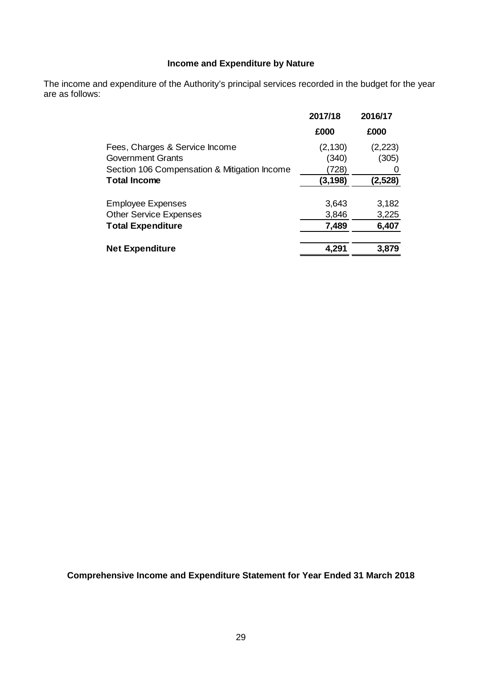## **Income and Expenditure by Nature**

<span id="page-31-0"></span>The income and expenditure of the Authority's principal services recorded in the budget for the year are as follows:

|                                              | 2017/18  | 2016/17 |
|----------------------------------------------|----------|---------|
|                                              | £000     | £000    |
| Fees, Charges & Service Income               | (2, 130) | (2,223) |
| <b>Government Grants</b>                     | (340)    | (305)   |
| Section 106 Compensation & Mitigation Income | (728)    |         |
| <b>Total Income</b>                          | (3, 198) | (2,528) |
| <b>Employee Expenses</b>                     | 3,643    | 3,182   |
| <b>Other Service Expenses</b>                | 3,846    | 3,225   |
| <b>Total Expenditure</b>                     | 7,489    | 6,407   |
| <b>Net Expenditure</b>                       | 4,291    | 3,879   |

<span id="page-31-1"></span>**Comprehensive Income and Expenditure Statement for Year Ended 31 March 2018**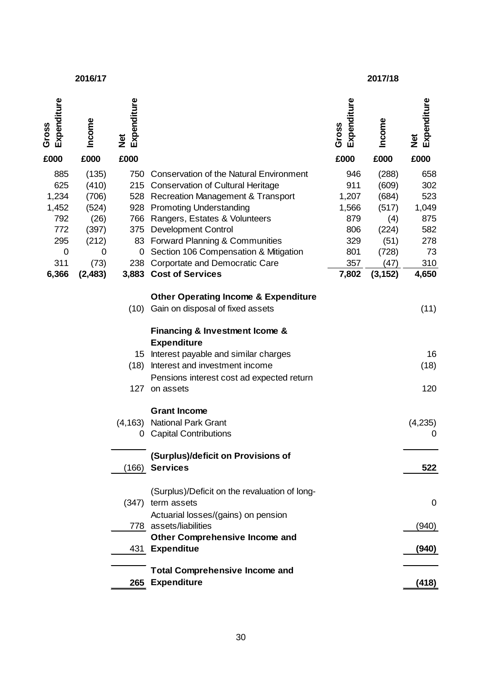#### **2016/17 2017/18**

| Expenditure<br>Gross                                                    | Income                                                                  | Expenditure<br>$\frac{\ddot{\sigma}}{Z}$ |                                                                                                                                                                                                                                                                                                                                                     | Expenditure<br>Gross                                            | Income                                                                    | Expenditure<br>$\frac{\text{d}}{\text{d}}$                   |
|-------------------------------------------------------------------------|-------------------------------------------------------------------------|------------------------------------------|-----------------------------------------------------------------------------------------------------------------------------------------------------------------------------------------------------------------------------------------------------------------------------------------------------------------------------------------------------|-----------------------------------------------------------------|---------------------------------------------------------------------------|--------------------------------------------------------------|
| £000                                                                    | £000                                                                    | £000                                     |                                                                                                                                                                                                                                                                                                                                                     | £000                                                            | £000                                                                      | £000                                                         |
| 885<br>625<br>1,234<br>1,452<br>792<br>772<br>295<br>$\mathbf 0$<br>311 | (135)<br>(410)<br>(706)<br>(524)<br>(26)<br>(397)<br>(212)<br>0<br>(73) | 750<br>0                                 | <b>Conservation of the Natural Environment</b><br>215 Conservation of Cultural Heritage<br>528 Recreation Management & Transport<br>928 Promoting Understanding<br>766 Rangers, Estates & Volunteers<br>375 Development Control<br>83 Forward Planning & Communities<br>Section 106 Compensation & Mitigation<br>238 Corportate and Democratic Care | 946<br>911<br>1,207<br>1,566<br>879<br>806<br>329<br>801<br>357 | (288)<br>(609)<br>(684)<br>(517)<br>(4)<br>(224)<br>(51)<br>(728)<br>(47) | 658<br>302<br>523<br>1,049<br>875<br>582<br>278<br>73<br>310 |
| 6,366                                                                   | (2, 483)                                                                |                                          | 3,883 Cost of Services                                                                                                                                                                                                                                                                                                                              | 7,802                                                           | (3, 152)                                                                  | 4,650                                                        |
|                                                                         |                                                                         | (10)                                     | <b>Other Operating Income &amp; Expenditure</b><br>Gain on disposal of fixed assets                                                                                                                                                                                                                                                                 |                                                                 |                                                                           | (11)                                                         |
|                                                                         |                                                                         |                                          | Financing & Investment Icome &<br><b>Expenditure</b>                                                                                                                                                                                                                                                                                                |                                                                 |                                                                           |                                                              |
|                                                                         |                                                                         | 15<br>(18)                               | Interest payable and similar charges<br>Interest and investment income                                                                                                                                                                                                                                                                              |                                                                 |                                                                           | 16<br>(18)                                                   |
|                                                                         |                                                                         | 127                                      | Pensions interest cost ad expected return<br>on assets                                                                                                                                                                                                                                                                                              |                                                                 |                                                                           | 120                                                          |
|                                                                         |                                                                         | (4, 163)<br>0                            | <b>Grant Income</b><br><b>National Park Grant</b><br><b>Capital Contributions</b>                                                                                                                                                                                                                                                                   |                                                                 |                                                                           | (4,235)<br>0                                                 |
|                                                                         |                                                                         |                                          | (Surplus)/deficit on Provisions of<br>(166) Services                                                                                                                                                                                                                                                                                                |                                                                 |                                                                           | 522                                                          |
|                                                                         |                                                                         |                                          | (Surplus)/Deficit on the revaluation of long-<br>(347) term assets                                                                                                                                                                                                                                                                                  |                                                                 |                                                                           | 0                                                            |
|                                                                         |                                                                         |                                          | Actuarial losses/(gains) on pension<br>778 assets/liabilities                                                                                                                                                                                                                                                                                       |                                                                 |                                                                           | (940)                                                        |
|                                                                         |                                                                         | 431                                      | <b>Other Comprehensive Income and</b><br><b>Expenditue</b>                                                                                                                                                                                                                                                                                          |                                                                 |                                                                           | (940)                                                        |
|                                                                         |                                                                         | 265                                      | <b>Total Comprehensive Income and</b><br><b>Expenditure</b>                                                                                                                                                                                                                                                                                         |                                                                 |                                                                           | (418)                                                        |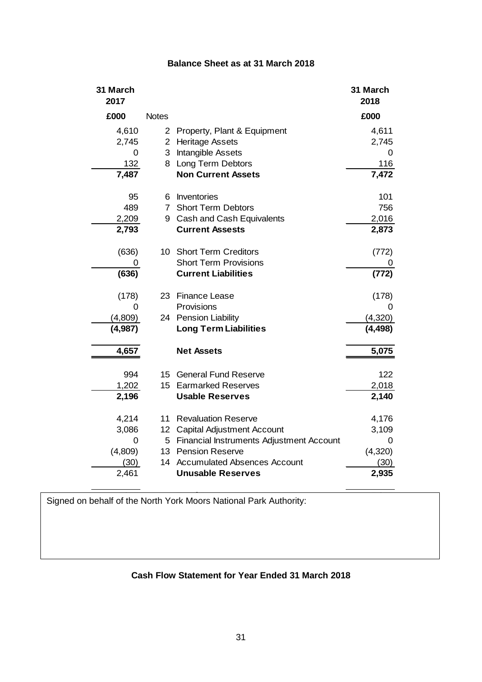## **Balance Sheet as at 31 March 2018**

<span id="page-33-0"></span>

| 31 March<br>2017 |                 |                                            | 31 March<br>2018 |
|------------------|-----------------|--------------------------------------------|------------------|
| £000             | <b>Notes</b>    |                                            | £000             |
| 4,610            |                 | 2 Property, Plant & Equipment              | 4,611            |
| 2,745            |                 | 2 Heritage Assets                          | 2,745            |
| 0                |                 | 3 Intangible Assets                        | 0                |
| 132              |                 | 8 Long Term Debtors                        | 116              |
| 7,487            |                 | <b>Non Current Assets</b>                  | 7,472            |
| 95               |                 | 6 Inventories                              | 101              |
| 489              | $7^{\circ}$     | <b>Short Term Debtors</b>                  | 756              |
| 2,209            | 9               | Cash and Cash Equivalents                  | 2,016            |
| 2,793            |                 | <b>Current Assests</b>                     | 2,873            |
| (636)            |                 | 10 Short Term Creditors                    | (772)            |
| 0                |                 | <b>Short Term Provisions</b>               |                  |
| (636)            |                 | <b>Current Liabilities</b>                 | (772)            |
| (178)            |                 | 23 Finance Lease                           | (178)            |
| 0                |                 | Provisions                                 | 0                |
| (4,809)          |                 | 24 Pension Liability                       | (4,320)          |
| (4,987)          |                 | <b>Long Term Liabilities</b>               | (4, 498)         |
| 4,657            |                 | <b>Net Assets</b>                          | 5,075            |
| 994              |                 | 15 General Fund Reserve                    | 122              |
| 1,202            |                 | 15 Earmarked Reserves                      | 2,018            |
| 2,196            |                 | <b>Usable Reserves</b>                     | 2,140            |
| 4,214            | 11              | <b>Revaluation Reserve</b>                 | 4,176            |
| 3,086            | 12 <sup>1</sup> | <b>Capital Adjustment Account</b>          | 3,109            |
| 0                |                 | 5 Financial Instruments Adjustment Account | 0                |
| (4,809)          |                 | 13 Pension Reserve                         | (4,320)          |
| (30)             |                 | 14 Accumulated Absences Account            | (30)             |
| 2,461            |                 | <b>Unusable Reserves</b>                   | 2,935            |

<span id="page-33-1"></span>Signed on behalf of the North York Moors National Park Authority:

## **Cash Flow Statement for Year Ended 31 March 2018**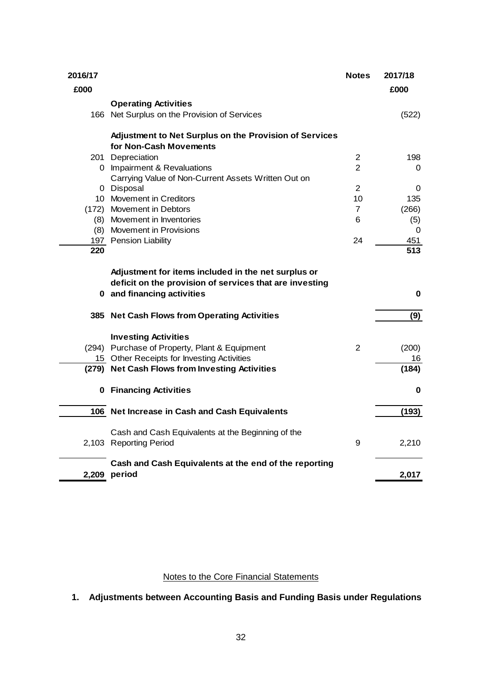| 2016/17 |                                                         | <b>Notes</b>   | 2017/18  |
|---------|---------------------------------------------------------|----------------|----------|
| £000    |                                                         |                | £000     |
|         | <b>Operating Activities</b>                             |                |          |
|         | 166 Net Surplus on the Provision of Services            |                | (522)    |
|         | Adjustment to Net Surplus on the Provision of Services  |                |          |
|         | for Non-Cash Movements                                  |                |          |
|         | 201 Depreciation                                        | $\overline{2}$ | 198      |
|         | 0 Impairment & Revaluations                             | $\overline{2}$ | 0        |
|         | Carrying Value of Non-Current Assets Written Out on     |                |          |
|         | 0 Disposal                                              | $\overline{2}$ | 0        |
|         | 10 Movement in Creditors                                | 10             | 135      |
|         | (172) Movement in Debtors                               | $\overline{7}$ | (266)    |
|         | (8) Movement in Inventories                             | 6              | (5)      |
|         | (8) Movement in Provisions                              |                | $\Omega$ |
|         | 197 Pension Liability                                   | 24             | 451      |
| 220     |                                                         |                | 513      |
|         | Adjustment for items included in the net surplus or     |                |          |
|         | deficit on the provision of services that are investing |                |          |
|         | 0 and financing activities                              |                | $\bf{0}$ |
|         | 385 Net Cash Flows from Operating Activities            |                | (9)      |
|         | <b>Investing Activities</b>                             |                |          |
|         | (294) Purchase of Property, Plant & Equipment           | 2              | (200)    |
|         | 15 Other Receipts for Investing Activities              |                | 16       |
|         | (279) Net Cash Flows from Investing Activities          |                | (184)    |
|         | 0 Financing Activities                                  |                | 0        |
|         | 106 Net Increase in Cash and Cash Equivalents           |                | (193)    |
|         | Cash and Cash Equivalents at the Beginning of the       |                |          |
|         | 2,103 Reporting Period                                  | 9              | 2,210    |
|         | Cash and Cash Equivalents at the end of the reporting   |                |          |
|         | 2,209 period                                            |                | 2,017    |

## Notes to the Core Financial Statements

<span id="page-34-1"></span><span id="page-34-0"></span>**1. Adjustments between Accounting Basis and Funding Basis under Regulations**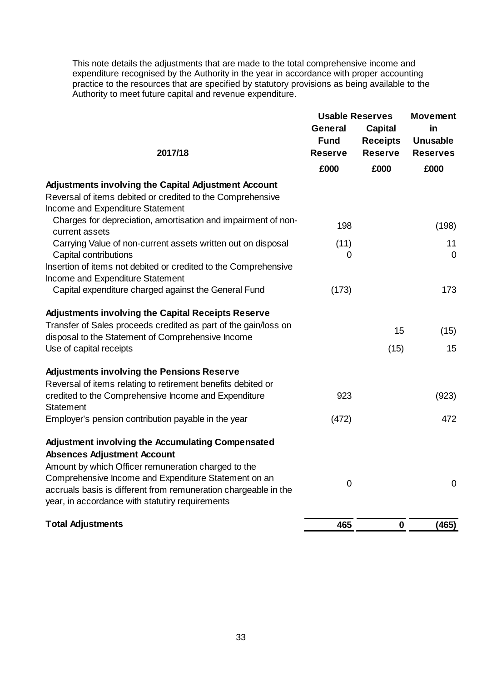This note details the adjustments that are made to the total comprehensive income and expenditure recognised by the Authority in the year in accordance with proper accounting practice to the resources that are specified by statutory provisions as being available to the Authority to meet future capital and revenue expenditure.

|                                                                                 | <b>Usable Reserves</b>        | <b>Movement</b>                   |                                    |
|---------------------------------------------------------------------------------|-------------------------------|-----------------------------------|------------------------------------|
|                                                                                 | <b>General</b>                | <b>Capital</b>                    | in                                 |
| 2017/18                                                                         | <b>Fund</b><br><b>Reserve</b> | <b>Receipts</b><br><b>Reserve</b> | <b>Unusable</b><br><b>Reserves</b> |
|                                                                                 | £000                          | £000                              | £000                               |
| <b>Adjustments involving the Capital Adjustment Account</b>                     |                               |                                   |                                    |
| Reversal of items debited or credited to the Comprehensive                      |                               |                                   |                                    |
| Income and Expenditure Statement                                                |                               |                                   |                                    |
| Charges for depreciation, amortisation and impairment of non-<br>current assets | 198                           |                                   | (198)                              |
| Carrying Value of non-current assets written out on disposal                    | (11)                          |                                   | 11                                 |
| Capital contributions                                                           | 0                             |                                   | $\overline{0}$                     |
| Insertion of items not debited or credited to the Comprehensive                 |                               |                                   |                                    |
| Income and Expenditure Statement                                                |                               |                                   |                                    |
| Capital expenditure charged against the General Fund                            | (173)                         |                                   | 173                                |
| <b>Adjustments involving the Capital Receipts Reserve</b>                       |                               |                                   |                                    |
| Transfer of Sales proceeds credited as part of the gain/loss on                 |                               | 15                                | (15)                               |
| disposal to the Statement of Comprehensive Income                               |                               |                                   |                                    |
| Use of capital receipts                                                         |                               | (15)                              | 15                                 |
| <b>Adjustments involving the Pensions Reserve</b>                               |                               |                                   |                                    |
| Reversal of items relating to retirement benefits debited or                    |                               |                                   |                                    |
| credited to the Comprehensive Income and Expenditure<br><b>Statement</b>        | 923                           |                                   | (923)                              |
| Employer's pension contribution payable in the year                             | (472)                         |                                   | 472                                |
| <b>Adjustment involving the Accumulating Compensated</b>                        |                               |                                   |                                    |
| <b>Absences Adjustment Account</b>                                              |                               |                                   |                                    |
| Amount by which Officer remuneration charged to the                             |                               |                                   |                                    |
| Comprehensive Income and Expenditure Statement on an                            |                               |                                   |                                    |
| accruals basis is different from remuneration chargeable in the                 | $\mathbf 0$                   |                                   | $\mathbf 0$                        |
| year, in accordance with statutiry requirements                                 |                               |                                   |                                    |
| <b>Total Adjustments</b>                                                        |                               | $\mathbf 0$                       |                                    |
|                                                                                 | 465                           |                                   | (465)                              |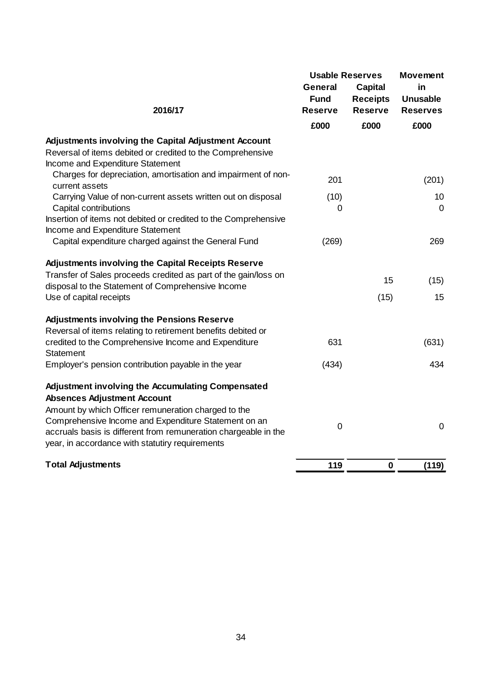|                                                                                                                                                                                                                                   | <b>Usable Reserves</b><br><b>General</b> |                                                     | <b>Movement</b><br>in              |
|-----------------------------------------------------------------------------------------------------------------------------------------------------------------------------------------------------------------------------------|------------------------------------------|-----------------------------------------------------|------------------------------------|
| 2016/17                                                                                                                                                                                                                           | <b>Fund</b><br><b>Reserve</b>            | <b>Capital</b><br><b>Receipts</b><br><b>Reserve</b> | <b>Unusable</b><br><b>Reserves</b> |
|                                                                                                                                                                                                                                   | £000                                     | £000                                                | £000                               |
| Adjustments involving the Capital Adjustment Account<br>Reversal of items debited or credited to the Comprehensive<br>Income and Expenditure Statement                                                                            |                                          |                                                     |                                    |
| Charges for depreciation, amortisation and impairment of non-<br>current assets                                                                                                                                                   | 201                                      |                                                     | (201)                              |
| Carrying Value of non-current assets written out on disposal<br>Capital contributions                                                                                                                                             | (10)<br>0                                |                                                     | 10<br>$\mathbf 0$                  |
| Insertion of items not debited or credited to the Comprehensive<br>Income and Expenditure Statement<br>Capital expenditure charged against the General Fund                                                                       | (269)                                    |                                                     | 269                                |
| <b>Adjustments involving the Capital Receipts Reserve</b>                                                                                                                                                                         |                                          |                                                     |                                    |
| Transfer of Sales proceeds credited as part of the gain/loss on<br>disposal to the Statement of Comprehensive Income                                                                                                              |                                          | 15                                                  | (15)                               |
| Use of capital receipts                                                                                                                                                                                                           |                                          | (15)                                                | 15                                 |
| <b>Adjustments involving the Pensions Reserve</b><br>Reversal of items relating to retirement benefits debited or                                                                                                                 |                                          |                                                     |                                    |
| credited to the Comprehensive Income and Expenditure<br>Statement                                                                                                                                                                 | 631                                      |                                                     | (631)                              |
| Employer's pension contribution payable in the year                                                                                                                                                                               | (434)                                    |                                                     | 434                                |
| Adjustment involving the Accumulating Compensated<br><b>Absences Adjustment Account</b>                                                                                                                                           |                                          |                                                     |                                    |
| Amount by which Officer remuneration charged to the<br>Comprehensive Income and Expenditure Statement on an<br>accruals basis is different from remuneration chargeable in the<br>year, in accordance with statutiry requirements | 0                                        |                                                     | $\boldsymbol{0}$                   |
| <b>Total Adjustments</b>                                                                                                                                                                                                          | 119                                      | $\bf{0}$                                            | (119)                              |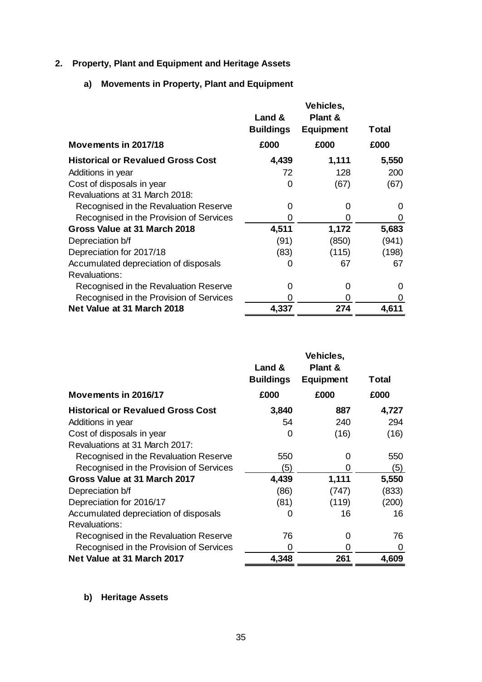## <span id="page-37-0"></span>**2. Property, Plant and Equipment and Heritage Assets**

## **a) Movements in Property, Plant and Equipment**

|                                          | Vehicles,        |                    |       |
|------------------------------------------|------------------|--------------------|-------|
|                                          | Land &           | <b>Plant &amp;</b> |       |
|                                          | <b>Buildings</b> | <b>Equipment</b>   | Total |
| Movements in 2017/18                     | £000             | £000               | £000  |
| <b>Historical or Revalued Gross Cost</b> | 4,439            | 1,111              | 5,550 |
| Additions in year                        | 72               | 128                | 200   |
| Cost of disposals in year                | 0                | (67)               | (67)  |
| Revaluations at 31 March 2018:           |                  |                    |       |
| Recognised in the Revaluation Reserve    | 0                |                    | 0     |
| Recognised in the Provision of Services  |                  | ( )                | O     |
| Gross Value at 31 March 2018             | 4,511            | 1,172              | 5,683 |
| Depreciation b/f                         | (91)             | (850)              | (941) |
| Depreciation for 2017/18                 | (83)             | (115)              | (198) |
| Accumulated depreciation of disposals    | 0                | 67                 | 67    |
| <b>Revaluations:</b>                     |                  |                    |       |
| Recognised in the Revaluation Reserve    | 0                | $\mathbf{\Omega}$  | 0     |
| Recognised in the Provision of Services  |                  | 0                  | 0     |
| Net Value at 31 March 2018               | 4,337            | 274                | 4,611 |

|                                          |                  | Vehicles,          |       |
|------------------------------------------|------------------|--------------------|-------|
|                                          | Land &           | <b>Plant &amp;</b> |       |
|                                          | <b>Buildings</b> | <b>Equipment</b>   | Total |
| Movements in 2016/17                     | £000             | £000               | £000  |
| <b>Historical or Revalued Gross Cost</b> | 3,840            | 887                | 4,727 |
| Additions in year                        | 54               | 240                | 294   |
| Cost of disposals in year                | 0                | (16)               | (16)  |
| Revaluations at 31 March 2017:           |                  |                    |       |
| Recognised in the Revaluation Reserve    | 550              |                    | 550   |
| Recognised in the Provision of Services  | (5)              | O                  | (5)   |
| Gross Value at 31 March 2017             | 4,439            | 1,111              | 5,550 |
| Depreciation b/f                         | (86)             | (747)              | (833) |
| Depreciation for 2016/17                 | (81)             | (119)              | (200) |
| Accumulated depreciation of disposals    | 0                | 16                 | 16    |
| <b>Revaluations:</b>                     |                  |                    |       |
| Recognised in the Revaluation Reserve    | 76               | O                  | 76    |
| Recognised in the Provision of Services  | O                | 0                  | 0     |
| Net Value at 31 March 2017               | 4,348            | 261                | 4,609 |

**b) Heritage Assets**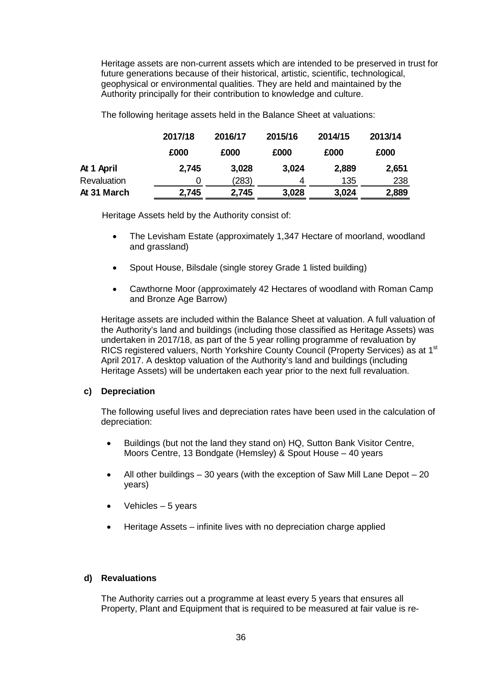Heritage assets are non-current assets which are intended to be preserved in trust for future generations because of their historical, artistic, scientific, technological, geophysical or environmental qualities. They are held and maintained by the Authority principally for their contribution to knowledge and culture.

The following heritage assets held in the Balance Sheet at valuations:

|             | 2017/18 | 2016/17 | 2015/16 | 2014/15 | 2013/14 |
|-------------|---------|---------|---------|---------|---------|
|             | £000    | £000    | £000    | £000    | £000    |
| At 1 April  | 2,745   | 3,028   | 3,024   | 2,889   | 2,651   |
| Revaluation |         | (283)   | 4       | 135     | 238     |
| At 31 March | 2,745   | 2,745   | 3,028   | 3,024   | 2,889   |

Heritage Assets held by the Authority consist of:

- The Levisham Estate (approximately 1,347 Hectare of moorland, woodland and grassland)
- Spout House, Bilsdale (single storey Grade 1 listed building)
- Cawthorne Moor (approximately 42 Hectares of woodland with Roman Camp and Bronze Age Barrow)

Heritage assets are included within the Balance Sheet at valuation. A full valuation of the Authority's land and buildings (including those classified as Heritage Assets) was undertaken in 2017/18, as part of the 5 year rolling programme of revaluation by RICS registered valuers, North Yorkshire County Council (Property Services) as at 1<sup>st</sup> April 2017. A desktop valuation of the Authority's land and buildings (including Heritage Assets) will be undertaken each year prior to the next full revaluation.

## **c) Depreciation**

The following useful lives and depreciation rates have been used in the calculation of depreciation:

- Buildings (but not the land they stand on) HQ, Sutton Bank Visitor Centre, Moors Centre, 13 Bondgate (Hemsley) & Spout House – 40 years
- All other buildings  $-30$  years (with the exception of Saw Mill Lane Depot  $-20$ years)
- Vehicles 5 years
- Heritage Assets infinite lives with no depreciation charge applied

## **d) Revaluations**

The Authority carries out a programme at least every 5 years that ensures all Property, Plant and Equipment that is required to be measured at fair value is re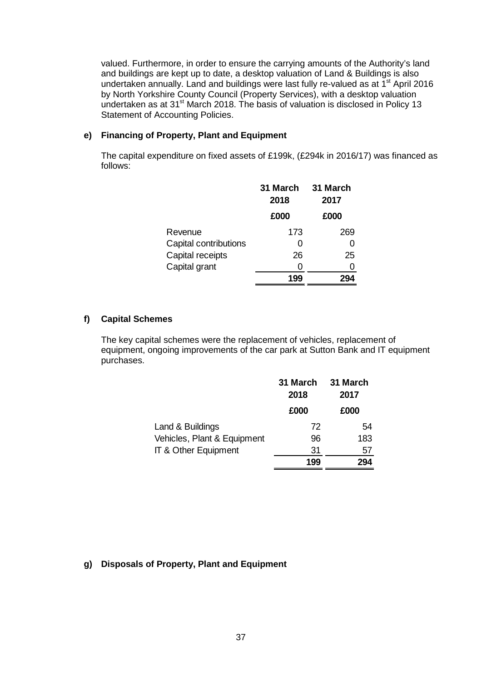valued. Furthermore, in order to ensure the carrying amounts of the Authority's land and buildings are kept up to date, a desktop valuation of Land & Buildings is also undertaken annually. Land and buildings were last fully re-valued as at  $1<sup>st</sup>$  April 2016 by North Yorkshire County Council (Property Services), with a desktop valuation undertaken as at 31st March 2018. The basis of valuation is disclosed in Policy 13 Statement of Accounting Policies.

### **e) Financing of Property, Plant and Equipment**

The capital expenditure on fixed assets of £199k, (£294k in 2016/17) was financed as follows:

|                       | 31 March<br>2018 | 31 March<br>2017 |
|-----------------------|------------------|------------------|
|                       | £000             | £000             |
| Revenue               | 173              | 269              |
| Capital contributions | O                |                  |
| Capital receipts      | 26               | 25               |
| Capital grant         | 0                |                  |
|                       |                  |                  |

### **f) Capital Schemes**

The key capital schemes were the replacement of vehicles, replacement of equipment, ongoing improvements of the car park at Sutton Bank and IT equipment purchases.

|                             | 31 March<br>2018 | 31 March<br>2017 |
|-----------------------------|------------------|------------------|
|                             | £000             | £000             |
| Land & Buildings            | 72               | 54               |
| Vehicles, Plant & Equipment | 96               | 183              |
| IT & Other Equipment        | 31               | 57               |
|                             | 199              |                  |

## **g) Disposals of Property, Plant and Equipment**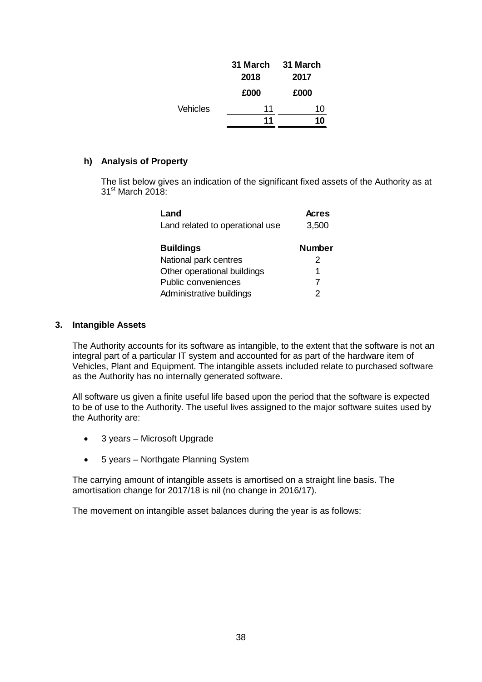|                 | 31 March<br>2018 | 31 March<br>2017 |
|-----------------|------------------|------------------|
|                 | £000             | £000             |
| <b>Vehicles</b> | 11               | 10               |
|                 | 11               |                  |

### **h) Analysis of Property**

The list below gives an indication of the significant fixed assets of the Authority as at  $31<sup>st</sup>$  March 2018:

| Land                            | <b>Acres</b>  |
|---------------------------------|---------------|
| Land related to operational use | 3,500         |
| <b>Buildings</b>                | <b>Number</b> |
| National park centres           | 2             |
| Other operational buildings     | 1             |
| Public conveniences             | 7             |
| Administrative buildings        | 2             |

### <span id="page-40-0"></span>**3. Intangible Assets**

The Authority accounts for its software as intangible, to the extent that the software is not an integral part of a particular IT system and accounted for as part of the hardware item of Vehicles, Plant and Equipment. The intangible assets included relate to purchased software as the Authority has no internally generated software.

All software us given a finite useful life based upon the period that the software is expected to be of use to the Authority. The useful lives assigned to the major software suites used by the Authority are:

- 3 years Microsoft Upgrade
- 5 years Northgate Planning System

The carrying amount of intangible assets is amortised on a straight line basis. The amortisation change for 2017/18 is nil (no change in 2016/17).

The movement on intangible asset balances during the year is as follows: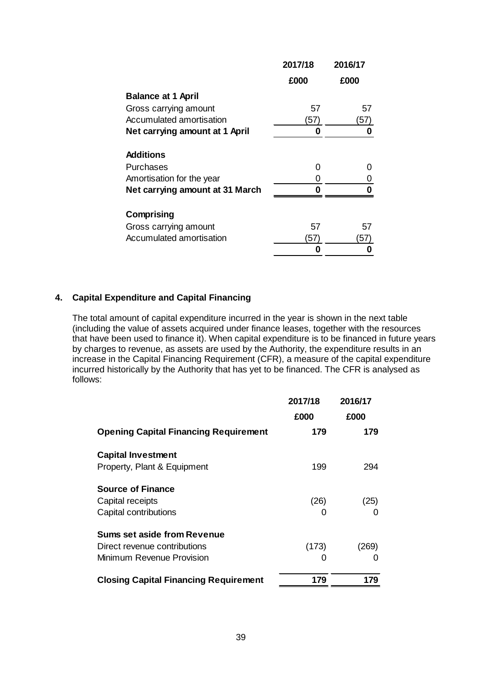|                                 | 2017/18 | 2016/17 |
|---------------------------------|---------|---------|
|                                 | £000    | £000    |
| <b>Balance at 1 April</b>       |         |         |
| Gross carrying amount           | 57      | 57      |
| Accumulated amortisation        | 57)     | 57)     |
| Net carrying amount at 1 April  | 0       | O       |
| <b>Additions</b>                |         |         |
| Purchases                       | 0       | O       |
| Amortisation for the year       | 0       | O       |
| Net carrying amount at 31 March | Π       | 0       |
| Comprising                      |         |         |
| Gross carrying amount           | 57      | 57      |
| Accumulated amortisation        | 57      | 57'     |
|                                 |         |         |
|                                 |         |         |

## <span id="page-41-0"></span>**4. Capital Expenditure and Capital Financing**

The total amount of capital expenditure incurred in the year is shown in the next table (including the value of assets acquired under finance leases, together with the resources that have been used to finance it). When capital expenditure is to be financed in future years by charges to revenue, as assets are used by the Authority, the expenditure results in an increase in the Capital Financing Requirement (CFR), a measure of the capital expenditure incurred historically by the Authority that has yet to be financed. The CFR is analysed as follows:

|                                              | 2017/18<br>£000 | 2016/17<br>£000 |
|----------------------------------------------|-----------------|-----------------|
| <b>Opening Capital Financing Requirement</b> | 179             | 179             |
| <b>Capital Investment</b>                    |                 |                 |
| Property, Plant & Equipment                  | 199             | 294             |
| <b>Source of Finance</b>                     |                 |                 |
| Capital receipts                             | (26)            | (25)            |
| Capital contributions                        |                 |                 |
| Sums set aside from Revenue                  |                 |                 |
| Direct revenue contributions                 | (173)           | (269)           |
| Minimum Revenue Provision                    |                 |                 |
| <b>Closing Capital Financing Requirement</b> | 179             | 179             |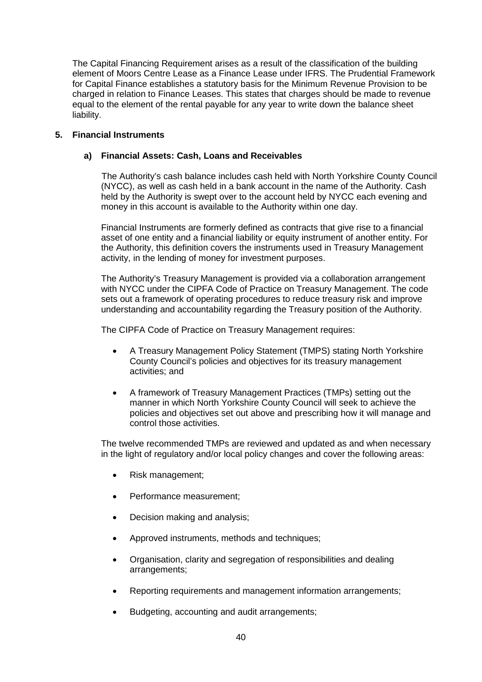The Capital Financing Requirement arises as a result of the classification of the building element of Moors Centre Lease as a Finance Lease under IFRS. The Prudential Framework for Capital Finance establishes a statutory basis for the Minimum Revenue Provision to be charged in relation to Finance Leases. This states that charges should be made to revenue equal to the element of the rental payable for any year to write down the balance sheet liability.

## <span id="page-42-0"></span>**5. Financial Instruments**

## **a) Financial Assets: Cash, Loans and Receivables**

The Authority's cash balance includes cash held with North Yorkshire County Council (NYCC), as well as cash held in a bank account in the name of the Authority. Cash held by the Authority is swept over to the account held by NYCC each evening and money in this account is available to the Authority within one day.

Financial Instruments are formerly defined as contracts that give rise to a financial asset of one entity and a financial liability or equity instrument of another entity. For the Authority, this definition covers the instruments used in Treasury Management activity, in the lending of money for investment purposes.

The Authority's Treasury Management is provided via a collaboration arrangement with NYCC under the CIPFA Code of Practice on Treasury Management. The code sets out a framework of operating procedures to reduce treasury risk and improve understanding and accountability regarding the Treasury position of the Authority.

The CIPFA Code of Practice on Treasury Management requires:

- A Treasury Management Policy Statement (TMPS) stating North Yorkshire County Council's policies and objectives for its treasury management activities; and
- A framework of Treasury Management Practices (TMPs) setting out the manner in which North Yorkshire County Council will seek to achieve the policies and objectives set out above and prescribing how it will manage and control those activities.

The twelve recommended TMPs are reviewed and updated as and when necessary in the light of regulatory and/or local policy changes and cover the following areas:

- Risk management;
- Performance measurement;
- Decision making and analysis;
- Approved instruments, methods and techniques;
- Organisation, clarity and segregation of responsibilities and dealing arrangements;
- Reporting requirements and management information arrangements;
- Budgeting, accounting and audit arrangements;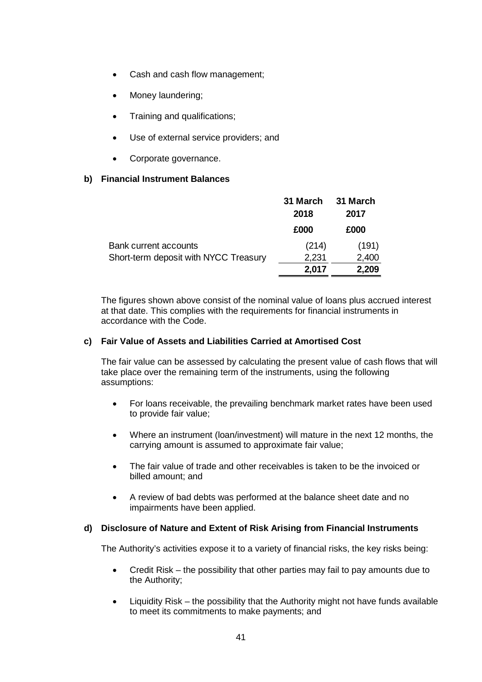- Cash and cash flow management;
- Money laundering;
- Training and qualifications;
- Use of external service providers; and
- Corporate governance.

## **b) Financial Instrument Balances**

|                                       | 31 March | 31 March |
|---------------------------------------|----------|----------|
|                                       | 2018     | 2017     |
|                                       | £000     | £000     |
| <b>Bank current accounts</b>          | (214)    | (191)    |
| Short-term deposit with NYCC Treasury | 2,231    | 2,400    |
|                                       | 2,017    | 2,209    |

The figures shown above consist of the nominal value of loans plus accrued interest at that date. This complies with the requirements for financial instruments in accordance with the Code.

## **c) Fair Value of Assets and Liabilities Carried at Amortised Cost**

The fair value can be assessed by calculating the present value of cash flows that will take place over the remaining term of the instruments, using the following assumptions:

- For loans receivable, the prevailing benchmark market rates have been used to provide fair value;
- Where an instrument (loan/investment) will mature in the next 12 months, the carrying amount is assumed to approximate fair value;
- The fair value of trade and other receivables is taken to be the invoiced or billed amount; and
- A review of bad debts was performed at the balance sheet date and no impairments have been applied.

#### **d) Disclosure of Nature and Extent of Risk Arising from Financial Instruments**

The Authority's activities expose it to a variety of financial risks, the key risks being:

- Credit Risk the possibility that other parties may fail to pay amounts due to the Authority;
- Liquidity Risk the possibility that the Authority might not have funds available to meet its commitments to make payments; and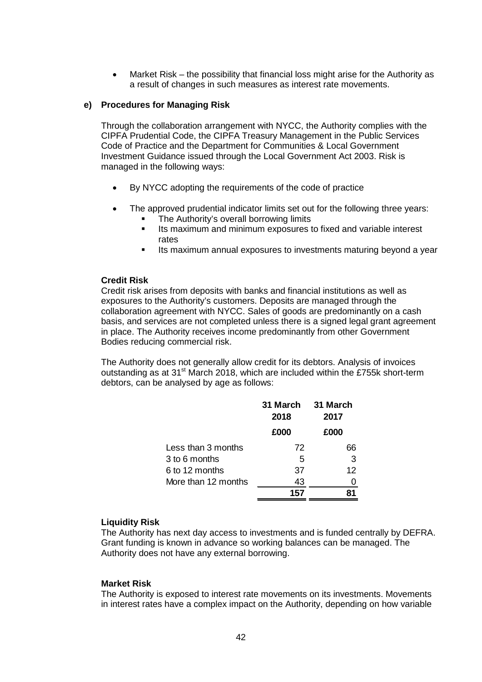• Market Risk – the possibility that financial loss might arise for the Authority as a result of changes in such measures as interest rate movements.

### **e) Procedures for Managing Risk**

Through the collaboration arrangement with NYCC, the Authority complies with the CIPFA Prudential Code, the CIPFA Treasury Management in the Public Services Code of Practice and the Department for Communities & Local Government Investment Guidance issued through the Local Government Act 2003. Risk is managed in the following ways:

- By NYCC adopting the requirements of the code of practice
- The approved prudential indicator limits set out for the following three years:
	- The Authority's overall borrowing limits
	- **Its maximum and minimum exposures to fixed and variable interest** rates
	- **Its maximum annual exposures to investments maturing beyond a year**

### **Credit Risk**

Credit risk arises from deposits with banks and financial institutions as well as exposures to the Authority's customers. Deposits are managed through the collaboration agreement with NYCC. Sales of goods are predominantly on a cash basis, and services are not completed unless there is a signed legal grant agreement in place. The Authority receives income predominantly from other Government Bodies reducing commercial risk.

The Authority does not generally allow credit for its debtors. Analysis of invoices outstanding as at 31<sup>st</sup> March 2018, which are included within the £755k short-term debtors, can be analysed by age as follows:

|                     | 31 March<br>2018 | 31 March<br>2017 |
|---------------------|------------------|------------------|
|                     | £000             | £000             |
| Less than 3 months  | 72               | 66               |
| 3 to 6 months       | 5                | 3                |
| 6 to 12 months      | 37               | 12               |
| More than 12 months | 43               |                  |
|                     | 157              |                  |

## **Liquidity Risk**

The Authority has next day access to investments and is funded centrally by DEFRA. Grant funding is known in advance so working balances can be managed. The Authority does not have any external borrowing.

## **Market Risk**

The Authority is exposed to interest rate movements on its investments. Movements in interest rates have a complex impact on the Authority, depending on how variable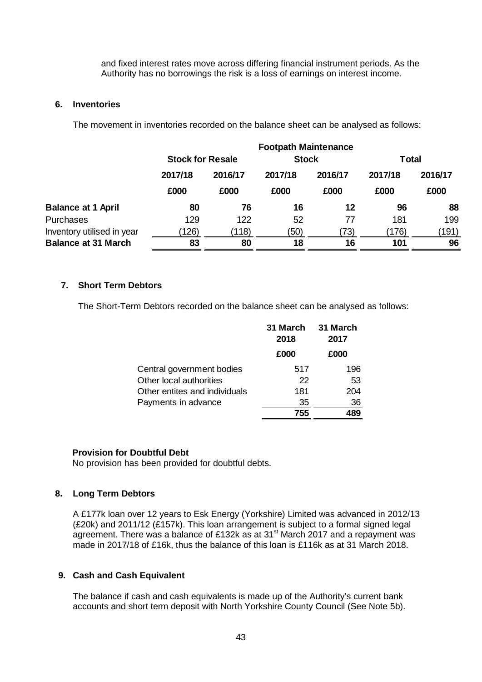and fixed interest rates move across differing financial instrument periods. As the Authority has no borrowings the risk is a loss of earnings on interest income.

### <span id="page-45-0"></span>**6. Inventories**

The movement in inventories recorded on the balance sheet can be analysed as follows:

|                            |                                         |         | <b>Footpath Maintenance</b> |              |         |         |
|----------------------------|-----------------------------------------|---------|-----------------------------|--------------|---------|---------|
|                            | <b>Stock</b><br><b>Stock for Resale</b> |         |                             | <b>Total</b> |         |         |
|                            | 2017/18                                 | 2016/17 | 2017/18                     | 2016/17      | 2017/18 | 2016/17 |
|                            | £000                                    | £000    | £000                        | £000         | £000    | £000    |
| <b>Balance at 1 April</b>  | 80                                      | 76      | 16                          | 12           | 96      | 88      |
| <b>Purchases</b>           | 129                                     | 122     | 52                          | 77           | 181     | 199     |
| Inventory utilised in year | 126)                                    | (118)   | (50)                        | (73)         | (176)   | (191)   |
| <b>Balance at 31 March</b> | 83                                      | 80      | 18                          | 16           | 101     | 96      |

## <span id="page-45-1"></span>**7. Short Term Debtors**

The Short-Term Debtors recorded on the balance sheet can be analysed as follows:

|                               | 31 March<br>2018 | 31 March<br>2017 |
|-------------------------------|------------------|------------------|
|                               | £000             | £000             |
| Central government bodies     | 517              | 196              |
| Other local authorities       | 22               | 53               |
| Other entites and individuals | 181              | 204              |
| Payments in advance           | 35               | 36               |
|                               | 755              | 489              |

#### **Provision for Doubtful Debt**

No provision has been provided for doubtful debts.

## <span id="page-45-2"></span>**8. Long Term Debtors**

A £177k loan over 12 years to Esk Energy (Yorkshire) Limited was advanced in 2012/13 (£20k) and 2011/12 (£157k). This loan arrangement is subject to a formal signed legal agreement. There was a balance of £132k as at 31<sup>st</sup> March 2017 and a repayment was made in 2017/18 of £16k, thus the balance of this loan is £116k as at 31 March 2018.

## <span id="page-45-3"></span>**9. Cash and Cash Equivalent**

The balance if cash and cash equivalents is made up of the Authority's current bank accounts and short term deposit with North Yorkshire County Council (See Note 5b).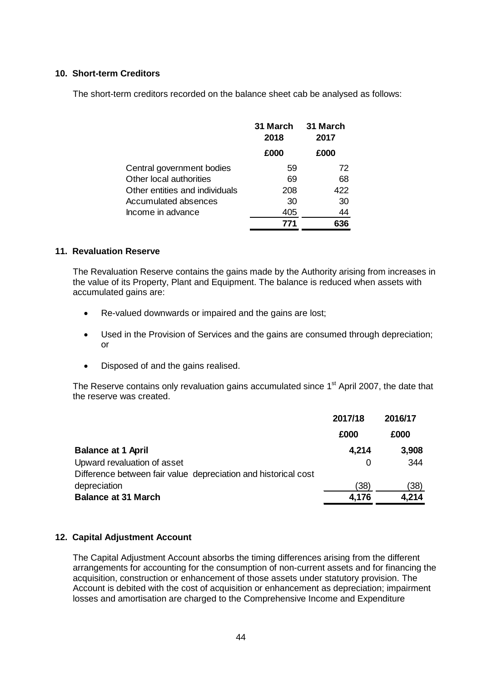## <span id="page-46-0"></span>**10. Short-term Creditors**

The short-term creditors recorded on the balance sheet cab be analysed as follows:

|                                | 31 March<br>2018 | 31 March<br>2017 |
|--------------------------------|------------------|------------------|
|                                | £000             | £000             |
| Central government bodies      | 59               | 72               |
| Other local authorities        | 69               | 68               |
| Other entities and individuals | 208              | 422              |
| Accumulated absences           | 30               | 30               |
| Income in advance              | 405              | 44               |
|                                | 771              |                  |

## <span id="page-46-1"></span>**11. Revaluation Reserve**

The Revaluation Reserve contains the gains made by the Authority arising from increases in the value of its Property, Plant and Equipment. The balance is reduced when assets with accumulated gains are:

- Re-valued downwards or impaired and the gains are lost;
- Used in the Provision of Services and the gains are consumed through depreciation; or
- Disposed of and the gains realised.

The Reserve contains only revaluation gains accumulated since 1<sup>st</sup> April 2007, the date that the reserve was created.

|                                                                | 2017/18 | 2016/17 |
|----------------------------------------------------------------|---------|---------|
|                                                                | £000    | £000    |
| <b>Balance at 1 April</b>                                      | 4,214   | 3,908   |
| Upward revaluation of asset                                    | 0       | 344     |
| Difference between fair value depreciation and historical cost |         |         |
| depreciation                                                   | (38)    | (38)    |
| <b>Balance at 31 March</b>                                     | 4,176   | 4,214   |

## <span id="page-46-2"></span>**12. Capital Adjustment Account**

The Capital Adjustment Account absorbs the timing differences arising from the different arrangements for accounting for the consumption of non-current assets and for financing the acquisition, construction or enhancement of those assets under statutory provision. The Account is debited with the cost of acquisition or enhancement as depreciation; impairment losses and amortisation are charged to the Comprehensive Income and Expenditure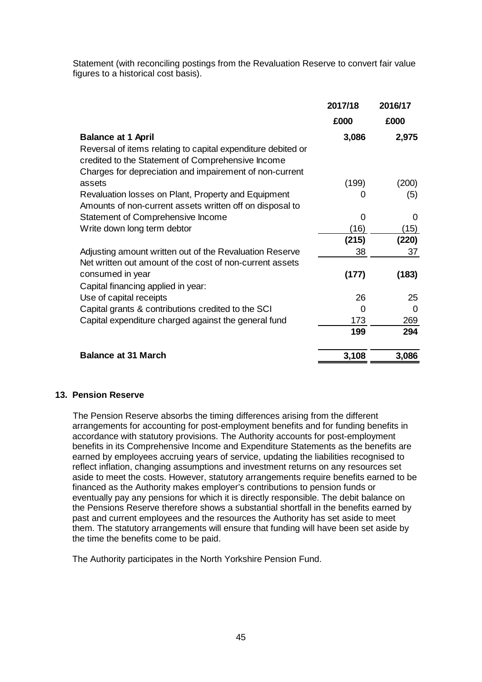Statement (with reconciling postings from the Revaluation Reserve to convert fair value figures to a historical cost basis).

|                                                                                                                                                                              | 2017/18 | 2016/17 |
|------------------------------------------------------------------------------------------------------------------------------------------------------------------------------|---------|---------|
|                                                                                                                                                                              | £000    | £000    |
| <b>Balance at 1 April</b>                                                                                                                                                    | 3,086   | 2,975   |
| Reversal of items relating to capital expenditure debited or<br>credited to the Statement of Comprehensive Income<br>Charges for depreciation and impairement of non-current |         |         |
| assets                                                                                                                                                                       | (199)   | (200)   |
| Revaluation losses on Plant, Property and Equipment<br>Amounts of non-current assets written off on disposal to                                                              | O       | (5)     |
| Statement of Comprehensive Income                                                                                                                                            | 0       | 0       |
| Write down long term debtor                                                                                                                                                  | (16)    | (15)    |
|                                                                                                                                                                              | (215)   | (220)   |
| Adjusting amount written out of the Revaluation Reserve                                                                                                                      | 38      | 37      |
| Net written out amount of the cost of non-current assets                                                                                                                     |         |         |
| consumed in year                                                                                                                                                             | (177)   | (183)   |
| Capital financing applied in year:                                                                                                                                           |         |         |
| Use of capital receipts                                                                                                                                                      | 26      | 25      |
| Capital grants & contributions credited to the SCI                                                                                                                           | 0       | 0       |
| Capital expenditure charged against the general fund                                                                                                                         | 173     | 269     |
|                                                                                                                                                                              | 199     | 294     |
| <b>Balance at 31 March</b>                                                                                                                                                   | 3,108   | 3,086   |

## <span id="page-47-0"></span>**13. Pension Reserve**

The Pension Reserve absorbs the timing differences arising from the different arrangements for accounting for post-employment benefits and for funding benefits in accordance with statutory provisions. The Authority accounts for post-employment benefits in its Comprehensive Income and Expenditure Statements as the benefits are earned by employees accruing years of service, updating the liabilities recognised to reflect inflation, changing assumptions and investment returns on any resources set aside to meet the costs. However, statutory arrangements require benefits earned to be financed as the Authority makes employer's contributions to pension funds or eventually pay any pensions for which it is directly responsible. The debit balance on the Pensions Reserve therefore shows a substantial shortfall in the benefits earned by past and current employees and the resources the Authority has set aside to meet them. The statutory arrangements will ensure that funding will have been set aside by the time the benefits come to be paid.

The Authority participates in the North Yorkshire Pension Fund.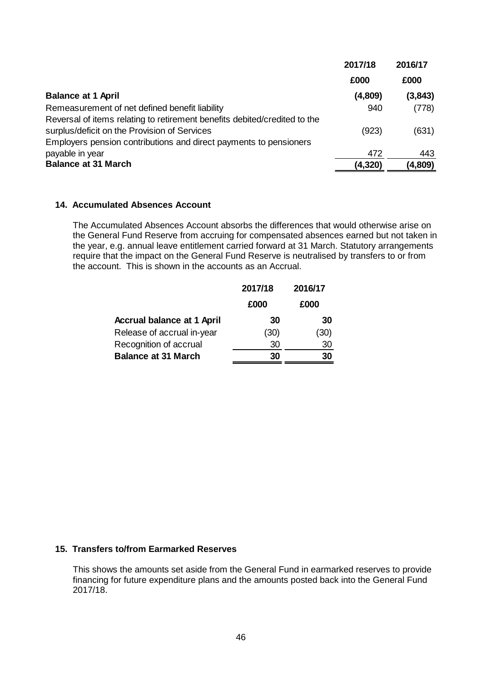|                                                                           | 2017/18  | 2016/17 |
|---------------------------------------------------------------------------|----------|---------|
|                                                                           | £000     | £000    |
| <b>Balance at 1 April</b>                                                 | (4,809)  | (3,843) |
| Remeasurement of net defined benefit liability                            | 940      | (778)   |
| Reversal of items relating to retirement benefits debited/credited to the |          |         |
| surplus/deficit on the Provision of Services                              | (923)    | (631)   |
| Employers pension contributions and direct payments to pensioners         |          |         |
| payable in year                                                           | 472      | 443     |
| <b>Balance at 31 March</b>                                                | (4, 320) | (4,809) |

### <span id="page-48-0"></span>**14. Accumulated Absences Account**

The Accumulated Absences Account absorbs the differences that would otherwise arise on the General Fund Reserve from accruing for compensated absences earned but not taken in the year, e.g. annual leave entitlement carried forward at 31 March. Statutory arrangements require that the impact on the General Fund Reserve is neutralised by transfers to or from the account. This is shown in the accounts as an Accrual.

|                                   | 2017/18 | 2016/17 |
|-----------------------------------|---------|---------|
|                                   | £000    | £000    |
| <b>Accrual balance at 1 April</b> | 30      | 30      |
| Release of accrual in-year        | (30)    | (30)    |
| Recognition of accrual            | 30      | 30      |
| <b>Balance at 31 March</b>        | 30      | 30      |

## <span id="page-48-1"></span>**15. Transfers to/from Earmarked Reserves**

This shows the amounts set aside from the General Fund in earmarked reserves to provide financing for future expenditure plans and the amounts posted back into the General Fund 2017/18.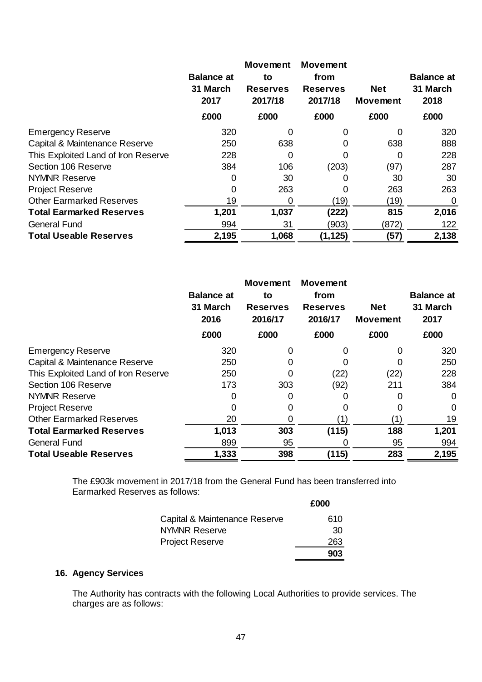|                                     | <b>Balance at</b><br>31 March<br>2017 | <b>Movement</b><br>to<br><b>Reserves</b><br>2017/18 | <b>Movement</b><br>from<br><b>Reserves</b><br>2017/18 | <b>Net</b><br><b>Movement</b> | <b>Balance at</b><br>31 March<br>2018 |
|-------------------------------------|---------------------------------------|-----------------------------------------------------|-------------------------------------------------------|-------------------------------|---------------------------------------|
|                                     | £000                                  | £000                                                | £000                                                  | £000                          | £000                                  |
| <b>Emergency Reserve</b>            | 320                                   | 0                                                   | 0                                                     | 0                             | 320                                   |
| Capital & Maintenance Reserve       | 250                                   | 638                                                 | 0                                                     | 638                           | 888                                   |
| This Exploited Land of Iron Reserve | 228                                   | 0                                                   | 0                                                     | 0                             | 228                                   |
| Section 106 Reserve                 | 384                                   | 106                                                 | (203)                                                 | (97)                          | 287                                   |
| <b>NYMNR Reserve</b>                | 0                                     | 30                                                  | $\mathbf{\Omega}$                                     | 30                            | 30                                    |
| <b>Project Reserve</b>              | 0                                     | 263                                                 | 0                                                     | 263                           | 263                                   |
| <b>Other Earmarked Reserves</b>     | 19                                    | 0                                                   | (19)                                                  | (19)                          | 0                                     |
| <b>Total Earmarked Reserves</b>     | 1,201                                 | 1,037                                               | (222)                                                 | 815                           | 2,016                                 |
| <b>General Fund</b>                 | 994                                   | 31                                                  | (903)                                                 | (872)                         | 122                                   |
| <b>Total Useable Reserves</b>       | 2,195                                 | 1,068                                               | (1, 125)                                              | (57)                          | 2,138                                 |

|                                     | <b>Balance at</b><br>31 March<br>2016 | <b>Movement</b><br>to<br><b>Reserves</b><br>2016/17 | <b>Movement</b><br>from<br><b>Reserves</b><br>2016/17 | <b>Net</b><br><b>Movement</b> | <b>Balance at</b><br>31 March<br>2017 |
|-------------------------------------|---------------------------------------|-----------------------------------------------------|-------------------------------------------------------|-------------------------------|---------------------------------------|
|                                     | £000                                  | £000                                                | £000                                                  | £000                          | £000                                  |
| <b>Emergency Reserve</b>            | 320                                   | 0                                                   |                                                       | 0                             | 320                                   |
| Capital & Maintenance Reserve       | 250                                   |                                                     |                                                       | 0                             | 250                                   |
| This Exploited Land of Iron Reserve | 250                                   | 0                                                   | (22)                                                  | (22)                          | 228                                   |
| Section 106 Reserve                 | 173                                   | 303                                                 | (92)                                                  | 211                           | 384                                   |
| <b>NYMNR Reserve</b>                | 0                                     | 0                                                   | O                                                     | 0                             | 0                                     |
| <b>Project Reserve</b>              |                                       |                                                     |                                                       |                               | 0                                     |
| <b>Other Earmarked Reserves</b>     | 20                                    |                                                     | $^{\prime}$ 1                                         |                               | 19                                    |
| <b>Total Earmarked Reserves</b>     | 1,013                                 | 303                                                 | (115)                                                 | 188                           | 1,201                                 |
| <b>General Fund</b>                 | 899                                   | 95                                                  |                                                       | 95                            | 994                                   |
| <b>Total Useable Reserves</b>       | 1,333                                 | 398                                                 | (115)                                                 | 283                           | 2,195                                 |

The £903k movement in 2017/18 from the General Fund has been transferred into Earmarked Reserves as follows: **£000**

| Capital & Maintenance Reserve | 610 |
|-------------------------------|-----|
| <b>NYMNR Reserve</b>          | 30  |
| <b>Project Reserve</b>        | 263 |
|                               | 903 |

## <span id="page-49-0"></span>**16. Agency Services**

The Authority has contracts with the following Local Authorities to provide services. The charges are as follows: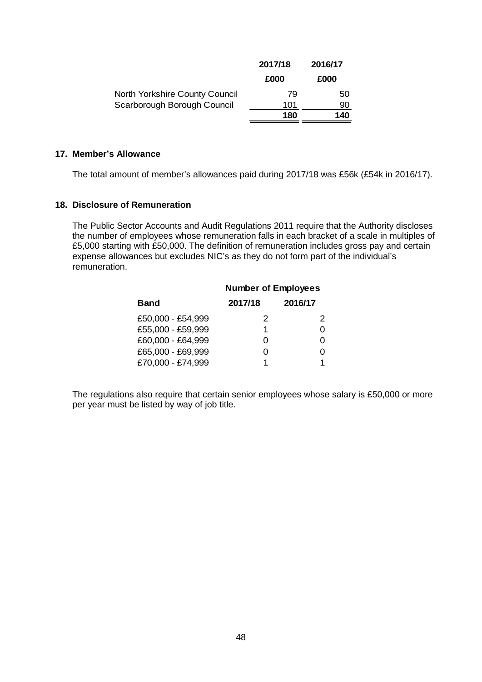|                                | 2017/18 | 2016/17 |
|--------------------------------|---------|---------|
|                                | £000    | £000    |
| North Yorkshire County Council | 79      | 50      |
| Scarborough Borough Council    | 101     | 90      |
|                                | 180     | 140     |

### <span id="page-50-0"></span>**17. Member's Allowance**

The total amount of member's allowances paid during 2017/18 was £56k (£54k in 2016/17).

### <span id="page-50-1"></span>**18. Disclosure of Remuneration**

The Public Sector Accounts and Audit Regulations 2011 require that the Authority discloses the number of employees whose remuneration falls in each bracket of a scale in multiples of £5,000 starting with £50,000. The definition of remuneration includes gross pay and certain expense allowances but excludes NIC's as they do not form part of the individual's remuneration.

| 2017/18 | 2016/17                    |
|---------|----------------------------|
| 2       | 2                          |
| 1       | O                          |
| O       | O                          |
| O       |                            |
| 1       | 1                          |
|         | <b>Number of Employees</b> |

The regulations also require that certain senior employees whose salary is £50,000 or more per year must be listed by way of job title.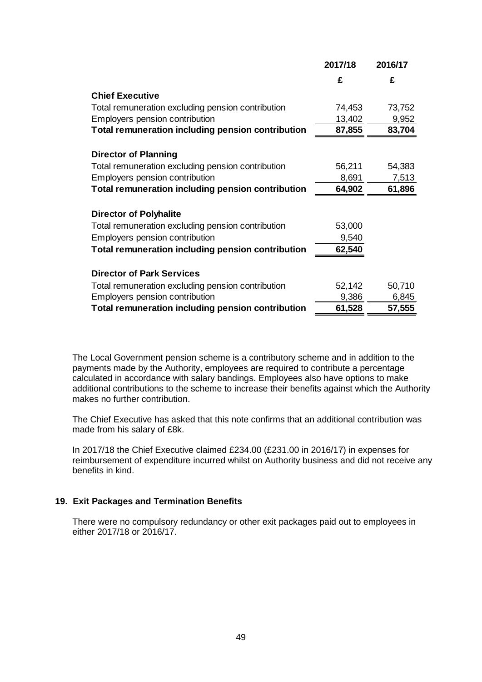|                                                          | 2017/18 | 2016/17 |
|----------------------------------------------------------|---------|---------|
|                                                          | £       | £       |
| <b>Chief Executive</b>                                   |         |         |
| Total remuneration excluding pension contribution        | 74,453  | 73,752  |
| Employers pension contribution                           | 13,402  | 9,952   |
| <b>Total remuneration including pension contribution</b> | 87,855  | 83,704  |
|                                                          |         |         |
| <b>Director of Planning</b>                              |         |         |
| Total remuneration excluding pension contribution        | 56,211  | 54,383  |
| Employers pension contribution                           | 8,691   | 7,513   |
| <b>Total remuneration including pension contribution</b> | 64,902  | 61,896  |
|                                                          |         |         |
| <b>Director of Polyhalite</b>                            |         |         |
| Total remuneration excluding pension contribution        | 53,000  |         |
| Employers pension contribution                           | 9,540   |         |
| Total remuneration including pension contribution        | 62,540  |         |
|                                                          |         |         |
| <b>Director of Park Services</b>                         |         |         |
| Total remuneration excluding pension contribution        | 52,142  | 50,710  |
| Employers pension contribution                           | 9,386   | 6,845   |
| <b>Total remuneration including pension contribution</b> | 61,528  | 57,555  |

The Local Government pension scheme is a contributory scheme and in addition to the payments made by the Authority, employees are required to contribute a percentage calculated in accordance with salary bandings. Employees also have options to make additional contributions to the scheme to increase their benefits against which the Authority makes no further contribution.

The Chief Executive has asked that this note confirms that an additional contribution was made from his salary of £8k.

In 2017/18 the Chief Executive claimed £234.00 (£231.00 in 2016/17) in expenses for reimbursement of expenditure incurred whilst on Authority business and did not receive any benefits in kind.

## <span id="page-51-0"></span>**19. Exit Packages and Termination Benefits**

There were no compulsory redundancy or other exit packages paid out to employees in either 2017/18 or 2016/17.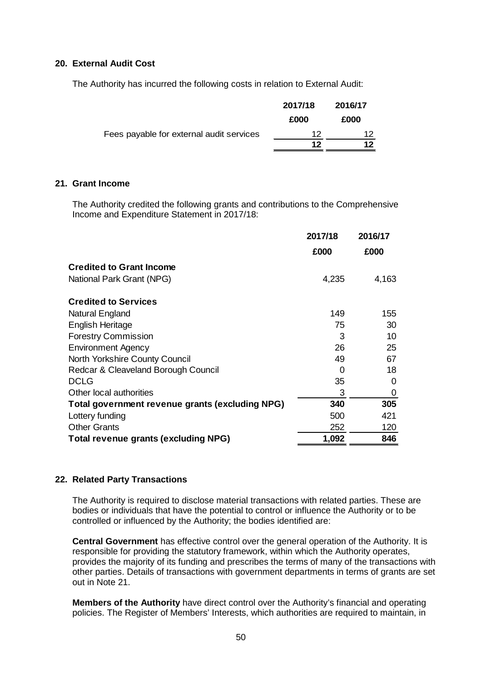## <span id="page-52-0"></span>**20. External Audit Cost**

The Authority has incurred the following costs in relation to External Audit:

|                                          | 2017/18 | 2016/17 |
|------------------------------------------|---------|---------|
|                                          | £000    | £000    |
| Fees payable for external audit services | 12      | 12      |
|                                          | 12      | 12      |

### <span id="page-52-1"></span>**21. Grant Income**

The Authority credited the following grants and contributions to the Comprehensive Income and Expenditure Statement in 2017/18:

|                                                 | 2017/18 | 2016/17 |
|-------------------------------------------------|---------|---------|
|                                                 | £000    | £000    |
| <b>Credited to Grant Income</b>                 |         |         |
| National Park Grant (NPG)                       | 4,235   | 4,163   |
| <b>Credited to Services</b>                     |         |         |
| Natural England                                 | 149     | 155     |
| English Heritage                                | 75      | 30      |
| <b>Forestry Commission</b>                      | 3       | 10      |
| <b>Environment Agency</b>                       | 26      | 25      |
| North Yorkshire County Council                  | 49      | 67      |
| Redcar & Cleaveland Borough Council             | 0       | 18      |
| <b>DCLG</b>                                     | 35      | 0       |
| Other local authorities                         | 3       | 0       |
| Total government revenue grants (excluding NPG) | 340     | 305     |
| Lottery funding                                 | 500     | 421     |
| <b>Other Grants</b>                             | 252     | 120     |
| <b>Total revenue grants (excluding NPG)</b>     | 1,092   | 846     |

## <span id="page-52-2"></span>**22. Related Party Transactions**

The Authority is required to disclose material transactions with related parties. These are bodies or individuals that have the potential to control or influence the Authority or to be controlled or influenced by the Authority; the bodies identified are:

**Central Government** has effective control over the general operation of the Authority. It is responsible for providing the statutory framework, within which the Authority operates, provides the majority of its funding and prescribes the terms of many of the transactions with other parties. Details of transactions with government departments in terms of grants are set out in Note 21.

**Members of the Authority** have direct control over the Authority's financial and operating policies. The Register of Members' Interests, which authorities are required to maintain, in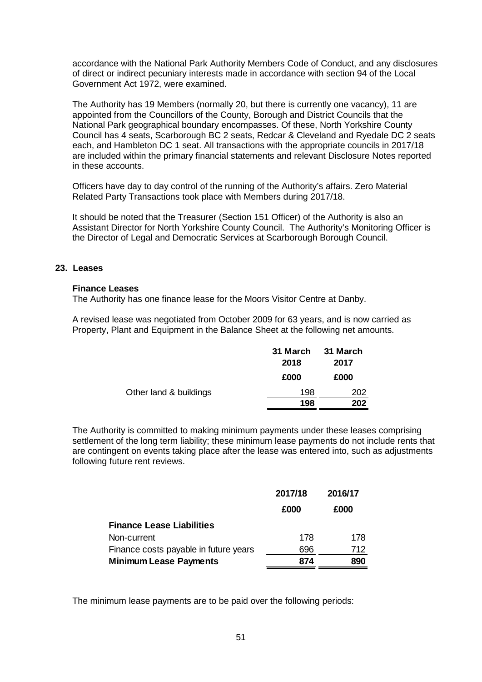accordance with the National Park Authority Members Code of Conduct, and any disclosures of direct or indirect pecuniary interests made in accordance with section 94 of the Local Government Act 1972, were examined.

The Authority has 19 Members (normally 20, but there is currently one vacancy), 11 are appointed from the Councillors of the County, Borough and District Councils that the National Park geographical boundary encompasses. Of these, North Yorkshire County Council has 4 seats, Scarborough BC 2 seats, Redcar & Cleveland and Ryedale DC 2 seats each, and Hambleton DC 1 seat. All transactions with the appropriate councils in 2017/18 are included within the primary financial statements and relevant Disclosure Notes reported in these accounts.

Officers have day to day control of the running of the Authority's affairs. Zero Material Related Party Transactions took place with Members during 2017/18.

It should be noted that the Treasurer (Section 151 Officer) of the Authority is also an Assistant Director for North Yorkshire County Council. The Authority's Monitoring Officer is the Director of Legal and Democratic Services at Scarborough Borough Council.

### <span id="page-53-0"></span>**23. Leases**

#### **Finance Leases**

The Authority has one finance lease for the Moors Visitor Centre at Danby.

A revised lease was negotiated from October 2009 for 63 years, and is now carried as Property, Plant and Equipment in the Balance Sheet at the following net amounts.

|                        | 31 March<br>2018 | 31 March<br>2017 |
|------------------------|------------------|------------------|
|                        | £000             | £000             |
| Other land & buildings | 198              | 202              |
|                        | 198              | 202              |

The Authority is committed to making minimum payments under these leases comprising settlement of the long term liability; these minimum lease payments do not include rents that are contingent on events taking place after the lease was entered into, such as adjustments following future rent reviews.

|                                       | 2017/18 | 2016/17 |  |
|---------------------------------------|---------|---------|--|
|                                       | £000    | £000    |  |
| <b>Finance Lease Liabilities</b>      |         |         |  |
| Non-current                           | 178     | 178     |  |
| Finance costs payable in future years | 696     | 712     |  |
| <b>Minimum Lease Payments</b>         | 874     | 890     |  |

The minimum lease payments are to be paid over the following periods: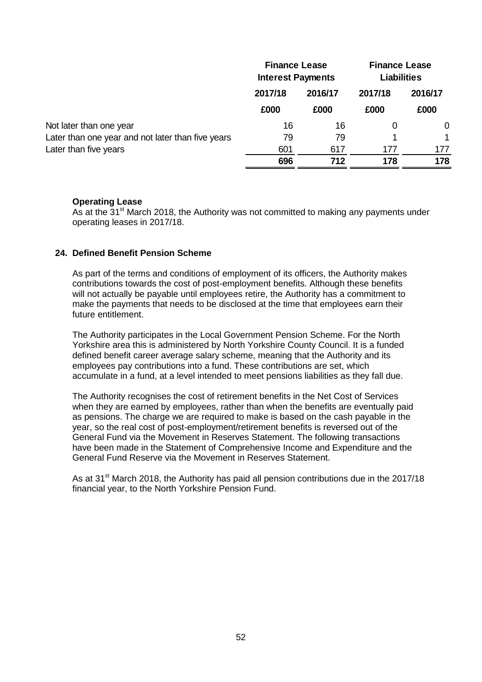|                                                   | <b>Finance Lease</b><br><b>Interest Payments</b> |         | <b>Finance Lease</b><br><b>Liabilities</b> |          |  |
|---------------------------------------------------|--------------------------------------------------|---------|--------------------------------------------|----------|--|
|                                                   | 2017/18                                          | 2016/17 | 2017/18                                    | 2016/17  |  |
|                                                   | £000                                             | £000    | £000                                       | £000     |  |
| Not later than one year                           | 16                                               | 16      | 0                                          | $\Omega$ |  |
| Later than one year and not later than five years | 79                                               | 79      |                                            |          |  |
| Later than five years                             | 601                                              | 617     | 177                                        | 177      |  |
|                                                   | 696                                              | 712     | 178                                        | 178      |  |

## **Operating Lease**

As at the  $31<sup>st</sup>$  March 2018, the Authority was not committed to making any payments under operating leases in 2017/18.

## <span id="page-54-0"></span>**24. Defined Benefit Pension Scheme**

As part of the terms and conditions of employment of its officers, the Authority makes contributions towards the cost of post-employment benefits. Although these benefits will not actually be payable until employees retire, the Authority has a commitment to make the payments that needs to be disclosed at the time that employees earn their future entitlement.

The Authority participates in the Local Government Pension Scheme. For the North Yorkshire area this is administered by North Yorkshire County Council. It is a funded defined benefit career average salary scheme, meaning that the Authority and its employees pay contributions into a fund. These contributions are set, which accumulate in a fund, at a level intended to meet pensions liabilities as they fall due.

The Authority recognises the cost of retirement benefits in the Net Cost of Services when they are earned by employees, rather than when the benefits are eventually paid as pensions. The charge we are required to make is based on the cash payable in the year, so the real cost of post-employment/retirement benefits is reversed out of the General Fund via the Movement in Reserves Statement. The following transactions have been made in the Statement of Comprehensive Income and Expenditure and the General Fund Reserve via the Movement in Reserves Statement.

As at 31 $\mathrm{st}$  March 2018, the Authority has paid all pension contributions due in the 2017/18 financial year, to the North Yorkshire Pension Fund.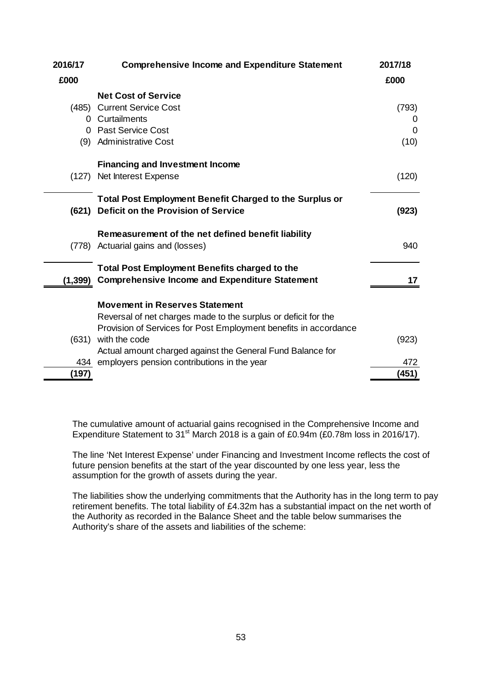| 2016/17  | <b>Comprehensive Income and Expenditure Statement</b>            | 2017/18 |
|----------|------------------------------------------------------------------|---------|
| £000     |                                                                  | £000    |
|          | <b>Net Cost of Service</b>                                       |         |
| (485)    | <b>Current Service Cost</b>                                      | (793)   |
|          | 0 Curtailments                                                   | O       |
|          | 0 Past Service Cost                                              | 0       |
|          | (9) Administrative Cost                                          | (10)    |
|          | <b>Financing and Investment Income</b>                           |         |
| (127)    | Net Interest Expense                                             | (120)   |
|          | <b>Total Post Employment Benefit Charged to the Surplus or</b>   |         |
| (621)    | Deficit on the Provision of Service                              | (923)   |
|          | Remeasurement of the net defined benefit liability               |         |
|          | (778) Actuarial gains and (losses)                               | 940     |
|          | <b>Total Post Employment Benefits charged to the</b>             |         |
| (1, 399) | <b>Comprehensive Income and Expenditure Statement</b>            | 17      |
|          | <b>Movement in Reserves Statement</b>                            |         |
|          | Reversal of net charges made to the surplus or deficit for the   |         |
|          | Provision of Services for Post Employment benefits in accordance |         |
| (631)    | with the code                                                    | (923)   |
|          | Actual amount charged against the General Fund Balance for       |         |
| 434      | employers pension contributions in the year                      | 472     |
| (197)    |                                                                  | (451)   |

The cumulative amount of actuarial gains recognised in the Comprehensive Income and Expenditure Statement to 31<sup>st</sup> March 2018 is a gain of £0.94m (£0.78m loss in 2016/17).

The line 'Net Interest Expense' under Financing and Investment Income reflects the cost of future pension benefits at the start of the year discounted by one less year, less the assumption for the growth of assets during the year.

The liabilities show the underlying commitments that the Authority has in the long term to pay retirement benefits. The total liability of £4.32m has a substantial impact on the net worth of the Authority as recorded in the Balance Sheet and the table below summarises the Authority's share of the assets and liabilities of the scheme: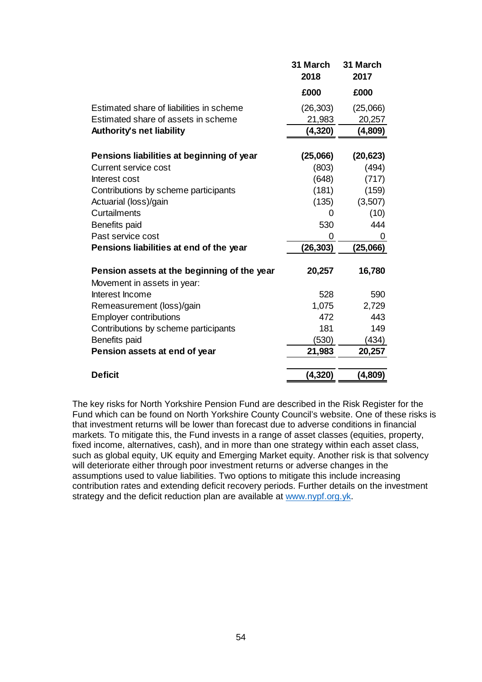|                                                                            | 31 March<br>2018 | 31 March<br>2017 |
|----------------------------------------------------------------------------|------------------|------------------|
|                                                                            | £000             | £000             |
| Estimated share of liabilities in scheme                                   | (26, 303)        | (25,066)         |
| Estimated share of assets in scheme                                        | 21,983           | 20,257           |
| Authority's net liability                                                  | (4,320)          | (4,809)          |
| Pensions liabilities at beginning of year                                  | (25,066)         | (20, 623)        |
| Current service cost                                                       | (803)            | (494)            |
| Interest cost                                                              | (648)            | (717)            |
| Contributions by scheme participants                                       | (181)            | (159)            |
| Actuarial (loss)/gain                                                      | (135)            | (3,507)          |
| Curtailments                                                               | 0                | (10)             |
| <b>Benefits paid</b>                                                       | 530              | 444              |
| Past service cost                                                          | 0                | 0                |
| Pensions liabilities at end of the year                                    | (26, 303)        | (25,066)         |
| Pension assets at the beginning of the year<br>Movement in assets in year: | 20,257           | 16,780           |
| Interest Income                                                            | 528              | 590              |
| Remeasurement (loss)/gain                                                  | 1,075            | 2,729            |
| <b>Employer contributions</b>                                              | 472              | 443              |
| Contributions by scheme participants                                       | 181              | 149              |
| <b>Benefits paid</b>                                                       | (530)            | (434)            |
| Pension assets at end of year                                              | 21,983           | 20,257           |
| <b>Deficit</b>                                                             | (4, 320)         | (4,809)          |

The key risks for North Yorkshire Pension Fund are described in the Risk Register for the Fund which can be found on North Yorkshire County Council's website. One of these risks is that investment returns will be lower than forecast due to adverse conditions in financial markets. To mitigate this, the Fund invests in a range of asset classes (equities, property, fixed income, alternatives, cash), and in more than one strategy within each asset class, such as global equity, UK equity and Emerging Market equity. Another risk is that solvency will deteriorate either through poor investment returns or adverse changes in the assumptions used to value liabilities. Two options to mitigate this include increasing contribution rates and extending deficit recovery periods. Further details on the investment strategy and the deficit reduction plan are available at [www.nypf.org.yk.](http://www.nypf.org.yk/)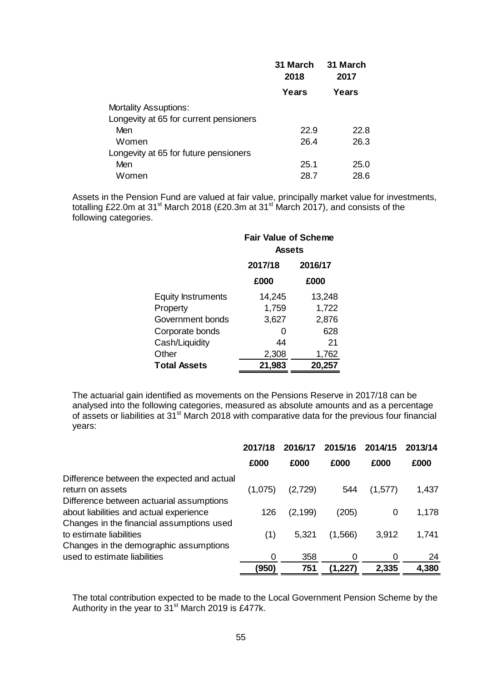|                                        | 31 March<br>2018 | 31 March<br>2017<br>Years |  |
|----------------------------------------|------------------|---------------------------|--|
|                                        | Years            |                           |  |
| <b>Mortality Assuptions:</b>           |                  |                           |  |
| Longevity at 65 for current pensioners |                  |                           |  |
| Men                                    | 22.9             | 22.8                      |  |
| Women                                  | 26.4             | 26.3                      |  |
| Longevity at 65 for future pensioners  |                  |                           |  |
| Men                                    | 25.1             | 25.0                      |  |
| Women                                  | 28.7             | 28.6                      |  |

Assets in the Pension Fund are valued at fair value, principally market value for investments, totalling £22.0m at 31<sup>st</sup> March 2018 (£20.3m at 31<sup>st</sup> March 2017), and consists of the following categories.

|                           | <b>Fair Value of Scheme</b><br><b>Assets</b> |         |  |
|---------------------------|----------------------------------------------|---------|--|
|                           | 2017/18                                      | 2016/17 |  |
|                           | £000                                         | £000    |  |
| <b>Equity Instruments</b> | 14,245                                       | 13,248  |  |
| Property                  | 1,759                                        | 1,722   |  |
| Government bonds          | 3,627                                        | 2,876   |  |
| Corporate bonds           | O                                            | 628     |  |
| Cash/Liquidity            | 44                                           | 21      |  |
| Other                     | 2,308                                        | 1,762   |  |
| <b>Total Assets</b>       | 21,983<br>20,257                             |         |  |

The actuarial gain identified as movements on the Pensions Reserve in 2017/18 can be analysed into the following categories, measured as absolute amounts and as a percentage of assets or liabilities at 31st March 2018 with comparative data for the previous four financial years:

|                                                                                                                                  | 2017/18 | 2016/17  | 2015/16 | 2014/15  | 2013/14 |
|----------------------------------------------------------------------------------------------------------------------------------|---------|----------|---------|----------|---------|
|                                                                                                                                  | £000    | £000     | £000    | £000     | £000    |
| Difference between the expected and actual<br>return on assets                                                                   | (1,075) | (2,729)  | 544     | (1,577)  | 1,437   |
| Difference between actuarial assumptions<br>about liabilities and actual experience<br>Changes in the financial assumptions used | 126     | (2, 199) | (205)   | 0        | 1,178   |
| to estimate liabilities<br>Changes in the demographic assumptions                                                                | (1)     | 5,321    | (1,566) | 3,912    | 1,741   |
| used to estimate liabilities                                                                                                     | 0       | 358      | 0       | $\Omega$ | 24      |
|                                                                                                                                  | (950)   | 751      | (1,227) | 2,335    | 4,380   |

The total contribution expected to be made to the Local Government Pension Scheme by the Authority in the year to  $31<sup>st</sup>$  March 2019 is £477k.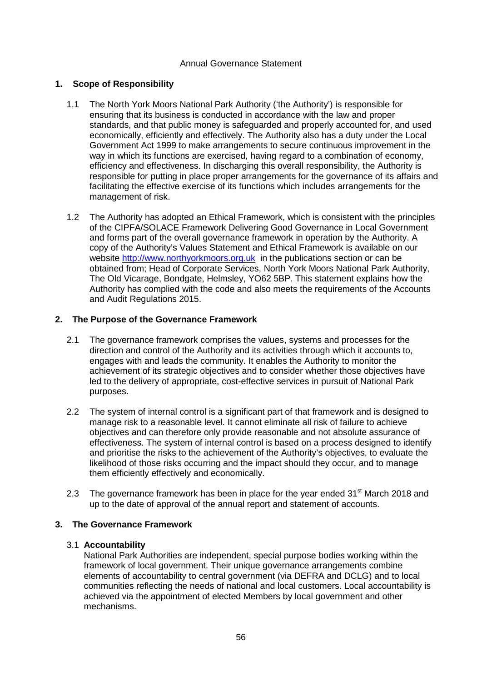## Annual Governance Statement

## <span id="page-58-0"></span>**1. Scope of Responsibility**

- 1.1 The North York Moors National Park Authority ('the Authority') is responsible for ensuring that its business is conducted in accordance with the law and proper standards, and that public money is safeguarded and properly accounted for, and used economically, efficiently and effectively. The Authority also has a duty under the Local Government Act 1999 to make arrangements to secure continuous improvement in the way in which its functions are exercised, having regard to a combination of economy, efficiency and effectiveness. In discharging this overall responsibility, the Authority is responsible for putting in place proper arrangements for the governance of its affairs and facilitating the effective exercise of its functions which includes arrangements for the management of risk.
- 1.2 The Authority has adopted an Ethical Framework, which is consistent with the principles of the CIPFA/SOLACE Framework Delivering Good Governance in Local Government and forms part of the overall governance framework in operation by the Authority. A copy of the Authority's Values Statement and Ethical Framework is available on our website [http://www.northyorkmoors.org.uk](http://www.northyorkmoors.org.uk/) in the publications section or can be obtained from; Head of Corporate Services, North York Moors National Park Authority, The Old Vicarage, Bondgate, Helmsley, YO62 5BP. This statement explains how the Authority has complied with the code and also meets the requirements of the Accounts and Audit Regulations 2015.

## **2. The Purpose of the Governance Framework**

- 2.1 The governance framework comprises the values, systems and processes for the direction and control of the Authority and its activities through which it accounts to, engages with and leads the community. It enables the Authority to monitor the achievement of its strategic objectives and to consider whether those objectives have led to the delivery of appropriate, cost-effective services in pursuit of National Park purposes.
- 2.2 The system of internal control is a significant part of that framework and is designed to manage risk to a reasonable level. It cannot eliminate all risk of failure to achieve objectives and can therefore only provide reasonable and not absolute assurance of effectiveness. The system of internal control is based on a process designed to identify and prioritise the risks to the achievement of the Authority's objectives, to evaluate the likelihood of those risks occurring and the impact should they occur, and to manage them efficiently effectively and economically.
- 2.3 The governance framework has been in place for the year ended 31<sup>st</sup> March 2018 and up to the date of approval of the annual report and statement of accounts.

## **3. The Governance Framework**

## 3.1 **Accountability**

National Park Authorities are independent, special purpose bodies working within the framework of local government. Their unique governance arrangements combine elements of accountability to central government (via DEFRA and DCLG) and to local communities reflecting the needs of national and local customers. Local accountability is achieved via the appointment of elected Members by local government and other mechanisms.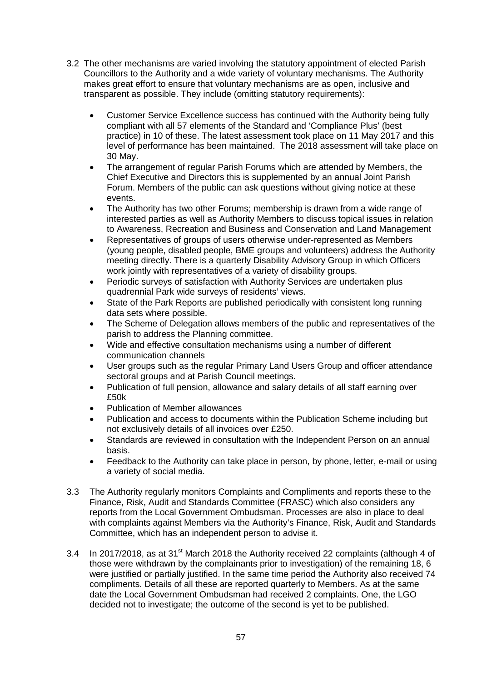- 3.2 The other mechanisms are varied involving the statutory appointment of elected Parish Councillors to the Authority and a wide variety of voluntary mechanisms. The Authority makes great effort to ensure that voluntary mechanisms are as open, inclusive and transparent as possible. They include (omitting statutory requirements):
	- Customer Service Excellence success has continued with the Authority being fully compliant with all 57 elements of the Standard and 'Compliance Plus' (best practice) in 10 of these. The latest assessment took place on 11 May 2017 and this level of performance has been maintained. The 2018 assessment will take place on 30 May.
	- The arrangement of regular Parish Forums which are attended by Members, the Chief Executive and Directors this is supplemented by an annual Joint Parish Forum. Members of the public can ask questions without giving notice at these events.
	- The Authority has two other Forums; membership is drawn from a wide range of interested parties as well as Authority Members to discuss topical issues in relation to Awareness, Recreation and Business and Conservation and Land Management
	- Representatives of groups of users otherwise under-represented as Members (young people, disabled people, BME groups and volunteers) address the Authority meeting directly. There is a quarterly Disability Advisory Group in which Officers work jointly with representatives of a variety of disability groups.
	- Periodic surveys of satisfaction with Authority Services are undertaken plus quadrennial Park wide surveys of residents' views.
	- State of the Park Reports are published periodically with consistent long running data sets where possible.
	- The Scheme of Delegation allows members of the public and representatives of the parish to address the Planning committee.
	- Wide and effective consultation mechanisms using a number of different communication channels
	- User groups such as the regular Primary Land Users Group and officer attendance sectoral groups and at Parish Council meetings.
	- Publication of full pension, allowance and salary details of all staff earning over £50k
	- Publication of Member allowances
	- Publication and access to documents within the Publication Scheme including but not exclusively details of all invoices over £250.
	- Standards are reviewed in consultation with the Independent Person on an annual basis.
	- Feedback to the Authority can take place in person, by phone, letter, e-mail or using a variety of social media.
- 3.3 The Authority regularly monitors Complaints and Compliments and reports these to the Finance, Risk, Audit and Standards Committee (FRASC) which also considers any reports from the Local Government Ombudsman. Processes are also in place to deal with complaints against Members via the Authority's Finance, Risk, Audit and Standards Committee, which has an independent person to advise it.
- 3.4 In 2017/2018, as at 31<sup>st</sup> March 2018 the Authority received 22 complaints (although 4 of those were withdrawn by the complainants prior to investigation) of the remaining 18, 6 were justified or partially justified. In the same time period the Authority also received 74 compliments. Details of all these are reported quarterly to Members. As at the same date the Local Government Ombudsman had received 2 complaints. One, the LGO decided not to investigate; the outcome of the second is yet to be published.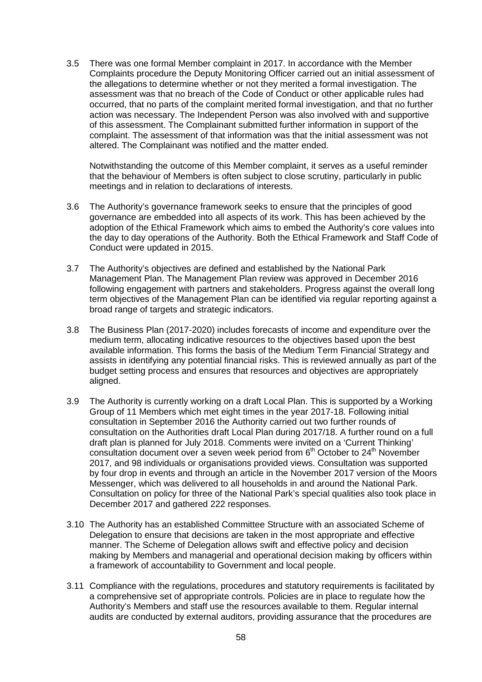3.5 There was one formal Member complaint in 2017. In accordance with the Member Complaints procedure the Deputy Monitoring Officer carried out an initial assessment of the allegations to determine whether or not they merited a formal investigation. The assessment was that no breach of the Code of Conduct or other applicable rules had occurred, that no parts of the complaint merited formal investigation, and that no further action was necessary. The Independent Person was also involved with and supportive of this assessment. The Complainant submitted further information in support of the complaint. The assessment of that information was that the initial assessment was not altered. The Complainant was notified and the matter ended.

Notwithstanding the outcome of this Member complaint, it serves as a useful reminder that the behaviour of Members is often subject to close scrutiny, particularly in public meetings and in relation to declarations of interests.

- 3.6 The Authority's governance framework seeks to ensure that the principles of good governance are embedded into all aspects of its work. This has been achieved by the adoption of the Ethical Framework which aims to embed the Authority's core values into the day to day operations of the Authority. Both the Ethical Framework and Staff Code of Conduct were updated in 2015.
- 3.7 The Authority's objectives are defined and established by the National Park Management Plan. The Management Plan review was approved in December 2016 following engagement with partners and stakeholders. Progress against the overall long term objectives of the Management Plan can be identified via regular reporting against a broad range of targets and strategic indicators.
- 3.8 The Business Plan (2017-2020) includes forecasts of income and expenditure over the medium term, allocating indicative resources to the objectives based upon the best available information. This forms the basis of the Medium Term Financial Strategy and assists in identifying any potential financial risks. This is reviewed annually as part of the budget setting process and ensures that resources and objectives are appropriately aligned.
- 3.9 The Authority is currently working on a draft Local Plan. This is supported by a Working Group of 11 Members which met eight times in the year 2017-18. Following initial consultation in September 2016 the Authority carried out two further rounds of consultation on the Authorities draft Local Plan during 2017/18. A further round on a full draft plan is planned for July 2018. Comments were invited on a 'Current Thinking' consultation document over a seven week period from  $6<sup>th</sup>$  October to  $24<sup>th</sup>$  November 2017, and 98 individuals or organisations provided views. Consultation was supported by four drop in events and through an article in the November 2017 version of the Moors Messenger, which was delivered to all households in and around the National Park. Consultation on policy for three of the National Park's special qualities also took place in December 2017 and gathered 222 responses.
- 3.10 The Authority has an established Committee Structure with an associated Scheme of Delegation to ensure that decisions are taken in the most appropriate and effective manner. The Scheme of Delegation allows swift and effective policy and decision making by Members and managerial and operational decision making by officers within a framework of accountability to Government and local people.
- 3.11 Compliance with the regulations, procedures and statutory requirements is facilitated by a comprehensive set of appropriate controls. Policies are in place to regulate how the Authority's Members and staff use the resources available to them. Regular internal audits are conducted by external auditors, providing assurance that the procedures are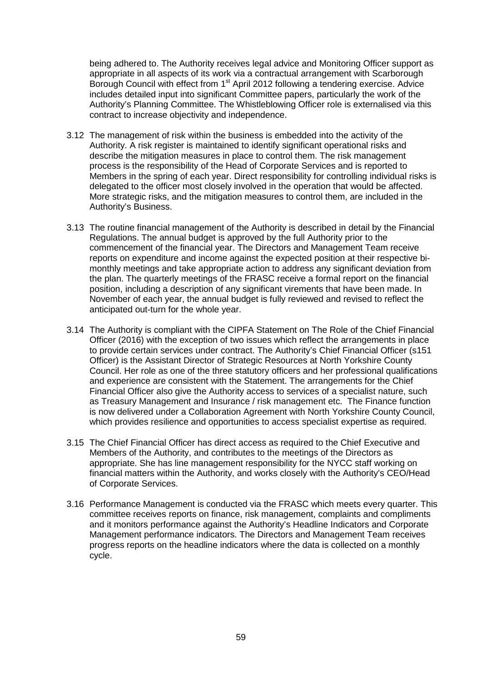being adhered to. The Authority receives legal advice and Monitoring Officer support as appropriate in all aspects of its work via a contractual arrangement with Scarborough Borough Council with effect from 1<sup>st</sup> April 2012 following a tendering exercise. Advice includes detailed input into significant Committee papers, particularly the work of the Authority's Planning Committee. The Whistleblowing Officer role is externalised via this contract to increase objectivity and independence.

- 3.12 The management of risk within the business is embedded into the activity of the Authority. A risk register is maintained to identify significant operational risks and describe the mitigation measures in place to control them. The risk management process is the responsibility of the Head of Corporate Services and is reported to Members in the spring of each year. Direct responsibility for controlling individual risks is delegated to the officer most closely involved in the operation that would be affected. More strategic risks, and the mitigation measures to control them, are included in the Authority's Business.
- 3.13 The routine financial management of the Authority is described in detail by the Financial Regulations. The annual budget is approved by the full Authority prior to the commencement of the financial year. The Directors and Management Team receive reports on expenditure and income against the expected position at their respective bimonthly meetings and take appropriate action to address any significant deviation from the plan. The quarterly meetings of the FRASC receive a formal report on the financial position, including a description of any significant virements that have been made. In November of each year, the annual budget is fully reviewed and revised to reflect the anticipated out-turn for the whole year.
- 3.14 The Authority is compliant with the CIPFA Statement on The Role of the Chief Financial Officer (2016) with the exception of two issues which reflect the arrangements in place to provide certain services under contract. The Authority's Chief Financial Officer (s151 Officer) is the Assistant Director of Strategic Resources at North Yorkshire County Council. Her role as one of the three statutory officers and her professional qualifications and experience are consistent with the Statement. The arrangements for the Chief Financial Officer also give the Authority access to services of a specialist nature, such as Treasury Management and Insurance / risk management etc. The Finance function is now delivered under a Collaboration Agreement with North Yorkshire County Council, which provides resilience and opportunities to access specialist expertise as required.
- 3.15 The Chief Financial Officer has direct access as required to the Chief Executive and Members of the Authority, and contributes to the meetings of the Directors as appropriate. She has line management responsibility for the NYCC staff working on financial matters within the Authority, and works closely with the Authority's CEO/Head of Corporate Services.
- 3.16 Performance Management is conducted via the FRASC which meets every quarter. This committee receives reports on finance, risk management, complaints and compliments and it monitors performance against the Authority's Headline Indicators and Corporate Management performance indicators. The Directors and Management Team receives progress reports on the headline indicators where the data is collected on a monthly cycle.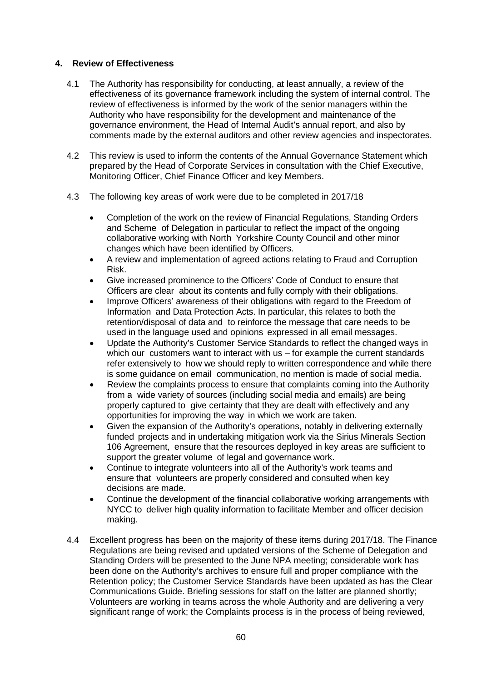## **4. Review of Effectiveness**

- 4.1 The Authority has responsibility for conducting, at least annually, a review of the effectiveness of its governance framework including the system of internal control. The review of effectiveness is informed by the work of the senior managers within the Authority who have responsibility for the development and maintenance of the governance environment, the Head of Internal Audit's annual report, and also by comments made by the external auditors and other review agencies and inspectorates.
- 4.2 This review is used to inform the contents of the Annual Governance Statement which prepared by the Head of Corporate Services in consultation with the Chief Executive, Monitoring Officer, Chief Finance Officer and key Members.
- 4.3 The following key areas of work were due to be completed in 2017/18
	- Completion of the work on the review of Financial Regulations, Standing Orders and Scheme of Delegation in particular to reflect the impact of the ongoing collaborative working with North Yorkshire County Council and other minor changes which have been identified by Officers.
	- A review and implementation of agreed actions relating to Fraud and Corruption Risk.
	- Give increased prominence to the Officers' Code of Conduct to ensure that Officers are clear about its contents and fully comply with their obligations.
	- Improve Officers' awareness of their obligations with regard to the Freedom of Information and Data Protection Acts. In particular, this relates to both the retention/disposal of data and to reinforce the message that care needs to be used in the language used and opinions expressed in all email messages.
	- Update the Authority's Customer Service Standards to reflect the changed ways in which our customers want to interact with us – for example the current standards refer extensively to how we should reply to written correspondence and while there is some guidance on email communication, no mention is made of social media.
	- Review the complaints process to ensure that complaints coming into the Authority from a wide variety of sources (including social media and emails) are being properly captured to give certainty that they are dealt with effectively and any opportunities for improving the way in which we work are taken.
	- Given the expansion of the Authority's operations, notably in delivering externally funded projects and in undertaking mitigation work via the Sirius Minerals Section 106 Agreement, ensure that the resources deployed in key areas are sufficient to support the greater volume of legal and governance work.
	- Continue to integrate volunteers into all of the Authority's work teams and ensure that volunteers are properly considered and consulted when key decisions are made.
	- Continue the development of the financial collaborative working arrangements with NYCC to deliver high quality information to facilitate Member and officer decision making.
- 4.4 Excellent progress has been on the majority of these items during 2017/18. The Finance Regulations are being revised and updated versions of the Scheme of Delegation and Standing Orders will be presented to the June NPA meeting; considerable work has been done on the Authority's archives to ensure full and proper compliance with the Retention policy; the Customer Service Standards have been updated as has the Clear Communications Guide. Briefing sessions for staff on the latter are planned shortly; Volunteers are working in teams across the whole Authority and are delivering a very significant range of work; the Complaints process is in the process of being reviewed,